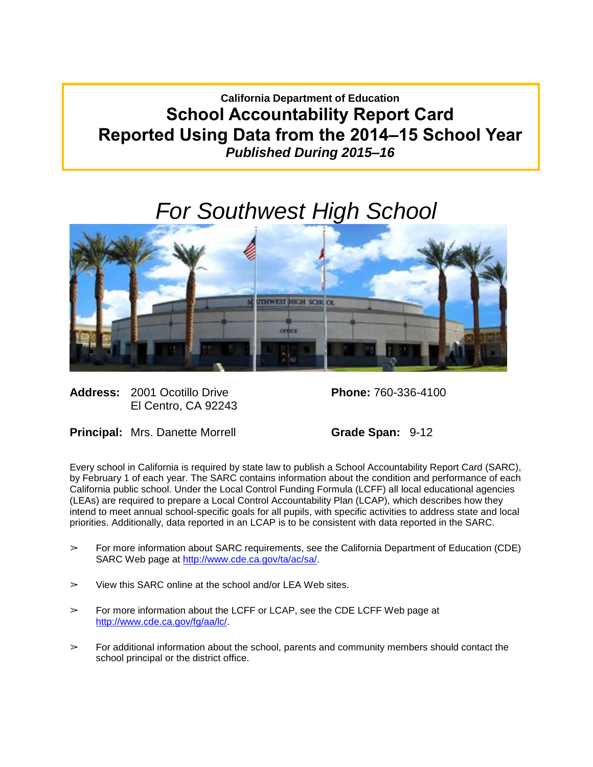**California Department of Education School Accountability Report Card Reported Using Data from the 2014–15 School Year** *Published During 2015–16*

# *For Southwest High School*



**Address:** 2001 Ocotillo Drive **Phone:** 760-336-4100 El Centro, CA 92243

**Principal:** Mrs. Danette Morrell **Grade Span:** 9-12

Every school in California is required by state law to publish a School Accountability Report Card (SARC), by February 1 of each year. The SARC contains information about the condition and performance of each California public school. Under the Local Control Funding Formula (LCFF) all local educational agencies (LEAs) are required to prepare a Local Control Accountability Plan (LCAP), which describes how they intend to meet annual school-specific goals for all pupils, with specific activities to address state and local priorities. Additionally, data reported in an LCAP is to be consistent with data reported in the SARC.

- ➢ For more information about SARC requirements, see the California Department of Education (CDE) SARC Web page at [http://www.cde.ca.gov/ta/ac/sa/.](http://www.cde.ca.gov/ta/ac/sa/)
- $\triangleright$  View this SARC online at the school and/or LEA Web sites.
- $\triangleright$  For more information about the LCFF or LCAP, see the CDE LCFF Web page at [http://www.cde.ca.gov/fg/aa/lc/.](http://www.cde.ca.gov/fg/aa/lc/)
- $\triangleright$  For additional information about the school, parents and community members should contact the school principal or the district office.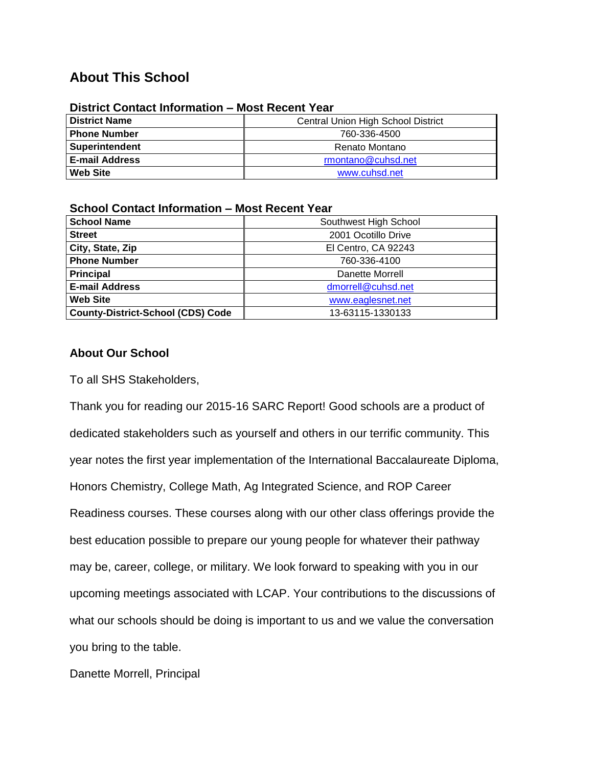## **About This School**

| District Contact Information – Most Recent Year |                                    |  |  |
|-------------------------------------------------|------------------------------------|--|--|
| <b>District Name</b>                            | Central Union High School District |  |  |
| <b>Phone Number</b>                             | 760-336-4500                       |  |  |
| <b>Superintendent</b>                           | Renato Montano                     |  |  |
| <b>E-mail Address</b>                           | rmontano@cuhsd.net                 |  |  |
| <b>Web Site</b>                                 | www.cuhsd.net                      |  |  |

## **District Contact Information – Most Recent Year**

## **School Contact Information – Most Recent Year**

| <b>School Name</b>                       | Southwest High School |  |  |
|------------------------------------------|-----------------------|--|--|
| <b>Street</b>                            | 2001 Ocotillo Drive   |  |  |
| City, State, Zip                         | El Centro, CA 92243   |  |  |
| <b>Phone Number</b>                      | 760-336-4100          |  |  |
| <b>Principal</b>                         | Danette Morrell       |  |  |
| <b>E-mail Address</b>                    | dmorrell@cuhsd.net    |  |  |
| <b>Web Site</b>                          | www.eaglesnet.net     |  |  |
| <b>County-District-School (CDS) Code</b> | 13-63115-1330133      |  |  |

## **About Our School**

To all SHS Stakeholders,

Thank you for reading our 2015-16 SARC Report! Good schools are a product of dedicated stakeholders such as yourself and others in our terrific community. This year notes the first year implementation of the International Baccalaureate Diploma, Honors Chemistry, College Math, Ag Integrated Science, and ROP Career Readiness courses. These courses along with our other class offerings provide the best education possible to prepare our young people for whatever their pathway may be, career, college, or military. We look forward to speaking with you in our upcoming meetings associated with LCAP. Your contributions to the discussions of what our schools should be doing is important to us and we value the conversation you bring to the table.

## Danette Morrell, Principal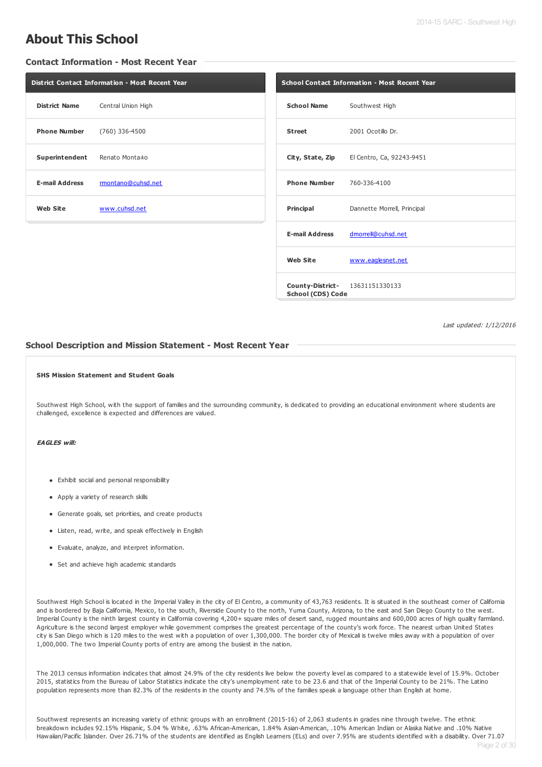## **About This School**

#### **Contact Information - Most Recent Year**

| <b>District Contact Information - Most Recent Year</b> |                    |  |
|--------------------------------------------------------|--------------------|--|
| <b>District Name</b>                                   | Central Union High |  |
| <b>Phone Number</b>                                    | (760) 336-4500     |  |
| Superintendent Renato Monta±o                          |                    |  |
| <b>E-mail Address</b>                                  | rmontano@cuhsd.net |  |
| <b>Web Site</b>                                        | www.cuhsd.net      |  |

| <b>School Contact Information - Most Recent Year</b> |                                                   |  |
|------------------------------------------------------|---------------------------------------------------|--|
| <b>School Name</b>                                   | Southwest High                                    |  |
| <b>Street</b>                                        | 2001 Ocotillo Dr.                                 |  |
|                                                      | <b>City, State, Zip</b> El Centro, Ca, 92243-9451 |  |
| <b>Phone Number</b> 760-336-4100                     |                                                   |  |
| Principal                                            | Dannette Morrell, Principal                       |  |
| <b>E-mail Address</b>                                | dmorrell@cuhsd.net                                |  |
| <b>Web Site</b>                                      | www.eaglesnet.net                                 |  |
| School (CDS) Code                                    | <b>County-District-</b> 13631151330133            |  |

Last updated: 1/12/2016

#### **School Description and Mission Statement - Most Recent Year**

#### **SHS Mission Statement and Student Goals**

Southwest High School, with the support of families and the surrounding community, is dedicated to providing an educational environment where students are challenged, excellence is expected and differences are valued.

#### **EAGLES will:**

- Exhibit social and personal responsibility
- Apply a variety of research skills
- Generate goals, set priorities, and create products
- Listen, read, write, and speak effectively in English
- Evaluate, analyze, and interpret information.
- Set and achieve high academic standards

Southwest High School is located in the Imperial Valley in the city of El Centro, a community of 43,763 residents. It is situated in the southeast corner of California and is bordered by Baja California, Mexico, to the south, Riverside County to the north, Yuma County, Arizona, to the east and San Diego County to the west. Imperial County is the ninth largest county in California covering 4,200+ square miles of desert sand, rugged mountains and 600,000 acres of high quality farmland. Agriculture is the second largest employer while government comprises the greatest percentage of the county's work force. The nearest urban United States city is San Diego which is 120 miles to the west with a population of over 1,300,000. The border city of Mexicali is twelve miles away with a population of over 1,000,000. The two Imperial County ports of entry are among the busiest in the nation.

The 2013 census information indicates that almost 24.9% of the city residents live below the poverty level as compared to a statewide level of 15.9%. October 2015, statistics from the Bureau of Labor Statistics indicate the city's unemployment rate to be 23.6 and that of the Imperial County to be 21%. The Latino population represents more than 82.3% of the residents in the county and 74.5% of the families speak a language other than English at home.

Southwest represents an increasing variety of ethnic groups with an enrollment (2015-16) of 2,063 students in grades nine through twelve. The ethnic breakdown includes 92.15% Hispanic, 5.04 % White, .63% African-American, 1.84% Asian-American, .10% American Indian or Alaska Native and .10% Native Hawaiian/Pacific Islander. Over 26.71% of the students are identified as English Learners (ELs) and over 7.95% are students identified with a disability. Over 71.07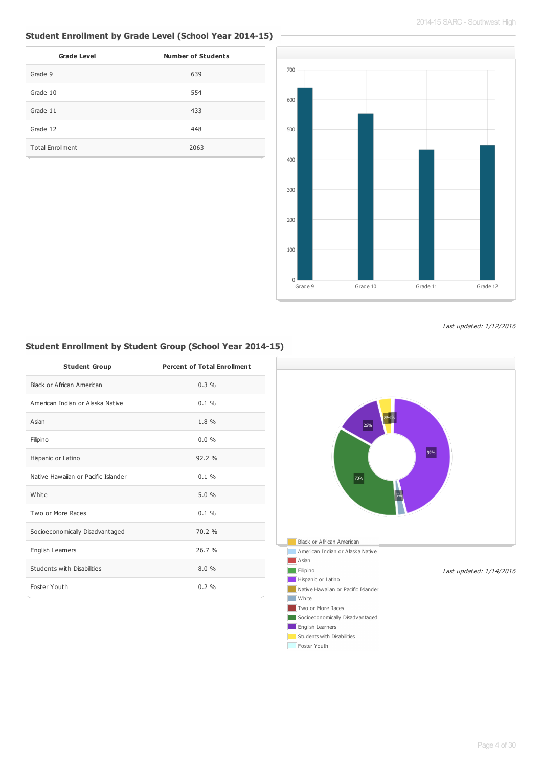## **Student Enrollment by Grade Level (School Year 2014-15)**

| <b>Grade Level</b>      | <b>Number of Students</b> |
|-------------------------|---------------------------|
| Grade 9                 | 639                       |
| Grade 10                | 554                       |
| Grade 11                | 433                       |
| Grade 12                | 448                       |
| <b>Total Enrollment</b> | 2063                      |



Last updated: 1/12/2016

## **Student Enrollment by Student Group (School Year 2014-15)**

| <b>Student Group</b>                | <b>Percent of Total Enrollment</b> |
|-------------------------------------|------------------------------------|
| Black or African American           | 0.3%                               |
| American Indian or Alaska Native    | $0.1 \%$                           |
| Asian                               | $1.8 \%$                           |
| Filipino                            | 0.0%                               |
| Hispanic or Latino                  | 92.2%                              |
| Native Hawaiian or Pacific Islander | $0.1 \%$                           |
| White                               | 5.0%                               |
| Two or More Races                   | $0.1 \%$                           |
| Socioeconomically Disadvantaged     | 70.2 %                             |
| English Learners                    | 26.7%                              |
| Students with Disabilities          | 8.0%                               |
| Foster Youth                        | $0.2 \%$                           |

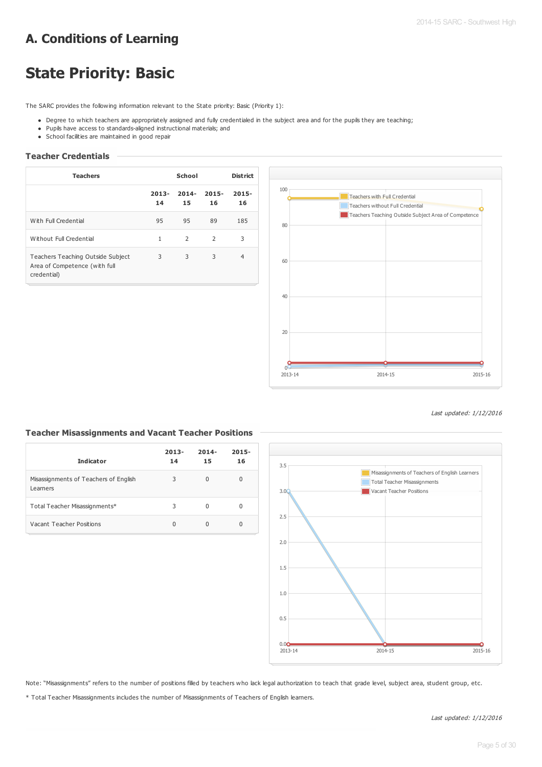## **A. Conditions of Learning**

# **State Priority: Basic**

The SARC provides the following information relevant to the State priority: Basic (Priority 1):

- Degree to which teachers are appropriately assigned and fully credentialed in the subject area and for the pupils they are teaching;
- Pupils have access to standards-aligned instructional materials; and
- School facilities are maintained in good repair

## **Teacher Credentials**

| <b>Teachers</b>                                                                   | School         |                | <b>District</b> |                |
|-----------------------------------------------------------------------------------|----------------|----------------|-----------------|----------------|
|                                                                                   | $2013 -$<br>14 | $2014 -$<br>15 | $2015 -$<br>16  | $2015 -$<br>16 |
| With Full Credential                                                              | 95             | 95             | 89              | 185            |
| Without Full Credential                                                           | 1              | 2              | 2               | 3              |
| Teachers Teaching Outside Subject<br>Area of Competence (with full<br>credential) | 3              | 3              | 3               | 4              |



#### Last updated: 1/12/2016

## **Teacher Misassignments and Vacant Teacher Positions**

| <b>Indicator</b>                                  | $2013 -$<br>14 | $2014 -$<br>15 | $2015 -$<br>16 |
|---------------------------------------------------|----------------|----------------|----------------|
| Misassignments of Teachers of English<br>Learners | 3              | <sup>0</sup>   | 0              |
| Total Teacher Misassignments*                     | 3              | O              | 0              |
| Vacant Teacher Positions                          | 0              | <sup>0</sup>   | 0              |



Note: "Misassignments" refers to the number of positions filled by teachers who lack legal authorization to teach that grade level, subject area, student group, etc.

\* Total Teacher Misassignments includes the number of Misassignments of Teachers of English learners.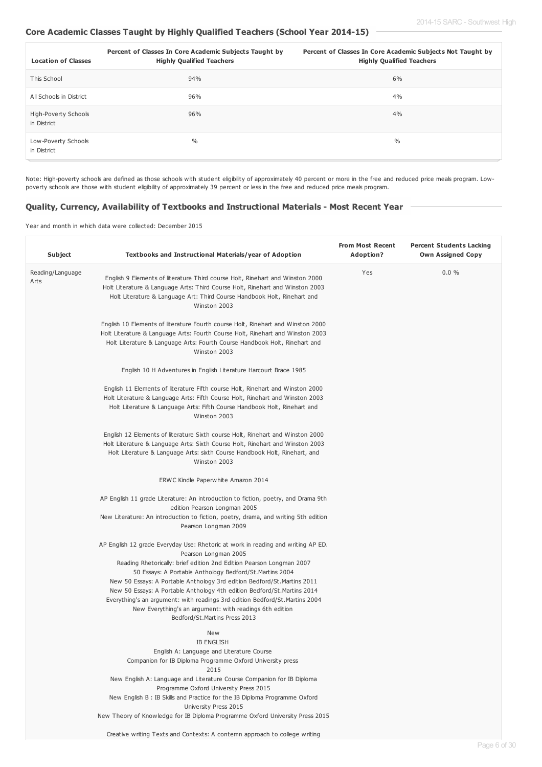## **Core Academic Classes Taught by Highly Qualified Teachers (School Year 2014-15)**

| <b>Location of Classes</b>          | Percent of Classes In Core Academic Subjects Taught by<br><b>Highly Qualified Teachers</b> | Percent of Classes In Core Academic Subjects Not Taught by<br><b>Highly Qualified Teachers</b> |
|-------------------------------------|--------------------------------------------------------------------------------------------|------------------------------------------------------------------------------------------------|
| This School                         | 94%                                                                                        | 6%                                                                                             |
| All Schools in District             | 96%                                                                                        | 4%                                                                                             |
| High-Poverty Schools<br>in District | 96%                                                                                        | 4%                                                                                             |
| Low-Poverty Schools<br>in District  | $\frac{0}{0}$                                                                              | $\%$                                                                                           |

Note: High-poverty schools are defined as those schools with student eligibility of approximately 40 percent or more in the free and reduced price meals program. Lowpoverty schools are those with student eligibility of approximately 39 percent or less in the free and reduced price meals program.

### **Quality, Currency, Availability of Textbooks and Instructional Materials - Most Recent Year**

Year and month in which data were collected: December 2015

| Subject                  | Textbooks and Instructional Materials/year of Adoption                                                                                                                                                                                                                                                                                                                                                                                                                                                                                                                         | <b>From Most Recent</b><br>Adoption? | <b>Percent Students Lacking</b><br><b>Own Assigned Copy</b> |
|--------------------------|--------------------------------------------------------------------------------------------------------------------------------------------------------------------------------------------------------------------------------------------------------------------------------------------------------------------------------------------------------------------------------------------------------------------------------------------------------------------------------------------------------------------------------------------------------------------------------|--------------------------------------|-------------------------------------------------------------|
| Reading/Language<br>Arts | English 9 Elements of literature Third course Holt, Rinehart and Winston 2000<br>Holt Literature & Language Arts: Third Course Holt, Rinehart and Winston 2003<br>Holt Literature & Language Art: Third Course Handbook Holt, Rinehart and<br>Winston 2003                                                                                                                                                                                                                                                                                                                     | Yes                                  | 0.0%                                                        |
|                          | English 10 Elements of literature Fourth course Holt, Rinehart and Winston 2000<br>Holt Literature & Language Arts: Fourth Course Holt, Rinehart and Winston 2003<br>Holt Literature & Language Arts: Fourth Course Handbook Holt, Rinehart and<br>Winston 2003                                                                                                                                                                                                                                                                                                                |                                      |                                                             |
|                          | English 10 H Adventures in English Literature Harcourt Brace 1985                                                                                                                                                                                                                                                                                                                                                                                                                                                                                                              |                                      |                                                             |
|                          | English 11 Elements of literature Fifth course Holt, Rinehart and Winston 2000<br>Holt Literature & Language Arts: Fifth Course Holt, Rinehart and Winston 2003<br>Holt Literature & Language Arts: Fifth Course Handbook Holt, Rinehart and<br>Winston 2003                                                                                                                                                                                                                                                                                                                   |                                      |                                                             |
|                          | English 12 Elements of literature Sixth course Holt, Rinehart and Winston 2000<br>Holt Literature & Language Arts: Sixth Course Holt, Rinehart and Winston 2003<br>Holt Literature & Language Arts: sixth Course Handbook Holt, Rinehart, and<br>Winston 2003                                                                                                                                                                                                                                                                                                                  |                                      |                                                             |
|                          | ERWC Kindle Paperwhite Amazon 2014                                                                                                                                                                                                                                                                                                                                                                                                                                                                                                                                             |                                      |                                                             |
|                          | AP English 11 grade Literature: An introduction to fiction, poetry, and Drama 9th<br>edition Pearson Longman 2005<br>New Literature: An introduction to fiction, poetry, drama, and writing 5th edition<br>Pearson Longman 2009                                                                                                                                                                                                                                                                                                                                                |                                      |                                                             |
|                          | AP English 12 grade Everyday Use: Rhetoric at work in reading and writing AP ED.<br>Pearson Longman 2005<br>Reading Rhetorically: brief edition 2nd Edition Pearson Longman 2007<br>50 Essays: A Portable Anthology Bedford/St.Martins 2004<br>New 50 Essays: A Portable Anthology 3rd edition Bedford/St. Martins 2011<br>New 50 Essays: A Portable Anthology 4th edition Bedford/St. Martins 2014<br>Everything's an argument: with readings 3rd edition Bedford/St.Martins 2004<br>New Everything's an argument: with readings 6th edition<br>Bedford/St.Martins Press 2013 |                                      |                                                             |
|                          | New<br><b>IB ENGLISH</b><br>English A: Language and Literature Course<br>Companion for IB Diploma Programme Oxford University press<br>2015<br>New English A: Language and Literature Course Companion for IB Diploma<br>Programme Oxford University Press 2015<br>New English B: IB Skills and Practice for the IB Diploma Programme Oxford                                                                                                                                                                                                                                   |                                      |                                                             |
|                          | University Press 2015<br>New Theory of Knowledge for IB Diploma Programme Oxford University Press 2015                                                                                                                                                                                                                                                                                                                                                                                                                                                                         |                                      |                                                             |
|                          | Creative writing Texts and Contexts: A contemn approach to college writing                                                                                                                                                                                                                                                                                                                                                                                                                                                                                                     |                                      |                                                             |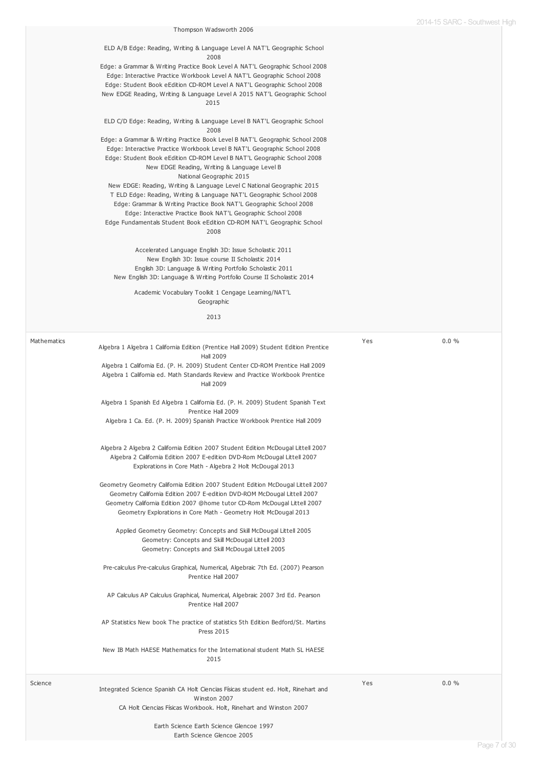|             | Thompson Wadsworth 2006                                                                                                                                                                                                                                                                                                                                                                   |     |          |
|-------------|-------------------------------------------------------------------------------------------------------------------------------------------------------------------------------------------------------------------------------------------------------------------------------------------------------------------------------------------------------------------------------------------|-----|----------|
|             | ELD A/B Edge: Reading, Writing & Language Level A NAT'L Geographic School<br>2008<br>Edge: a Grammar & Writing Practice Book Level A NAT'L Geographic School 2008                                                                                                                                                                                                                         |     |          |
|             | Edge: Interactive Practice Workbook Level A NAT'L Geographic School 2008<br>Edge: Student Book eEdition CD-ROM Level A NAT'L Geographic School 2008<br>New EDGE Reading, Writing & Language Level A 2015 NAT'L Geographic School<br>2015                                                                                                                                                  |     |          |
|             | ELD C/D Edge: Reading, Writing & Language Level B NAT'L Geographic School<br>2008                                                                                                                                                                                                                                                                                                         |     |          |
|             | Edge: a Grammar & Writing Practice Book Level B NAT'L Geographic School 2008<br>Edge: Interactive Practice Workbook Level B NAT'L Geographic School 2008<br>Edge: Student Book eEdition CD-ROM Level B NAT'L Geographic School 2008<br>New EDGE Reading, Writing & Language Level B<br>National Geographic 2015<br>New EDGE: Reading, Writing & Language Level C National Geographic 2015 |     |          |
|             | T ELD Edge: Reading, Writing & Language NAT'L Geographic School 2008<br>Edge: Grammar & Writing Practice Book NAT'L Geographic School 2008<br>Edge: Interactive Practice Book NAT'L Geographic School 2008<br>Edge Fundamentals Student Book eEdition CD-ROM NAT'L Geographic School                                                                                                      |     |          |
|             | 2008                                                                                                                                                                                                                                                                                                                                                                                      |     |          |
|             | Accelerated Language English 3D: Issue Scholastic 2011<br>New English 3D: Issue course II Scholastic 2014<br>English 3D: Language & Writing Portfolio Scholastic 2011<br>New English 3D: Language & Writing Portfolio Course II Scholastic 2014                                                                                                                                           |     |          |
|             | Academic Vocabulary Toolkit 1 Cengage Learning/NAT'L<br>Geographic                                                                                                                                                                                                                                                                                                                        |     |          |
|             | 2013                                                                                                                                                                                                                                                                                                                                                                                      |     |          |
| Mathematics | Algebra 1 Algebra 1 California Edition (Prentice Hall 2009) Student Edition Prentice<br><b>Hall 2009</b>                                                                                                                                                                                                                                                                                  | Yes | $0.0 \%$ |
|             | Algebra 1 California Ed. (P. H. 2009) Student Center CD-ROM Prentice Hall 2009<br>Algebra 1 California ed. Math Standards Review and Practice Workbook Prentice<br><b>Hall 2009</b>                                                                                                                                                                                                       |     |          |
|             | Algebra 1 Spanish Ed Algebra 1 California Ed. (P. H. 2009) Student Spanish Text<br>Prentice Hall 2009<br>Algebra 1 Ca. Ed. (P. H. 2009) Spanish Practice Workbook Prentice Hall 2009                                                                                                                                                                                                      |     |          |
|             |                                                                                                                                                                                                                                                                                                                                                                                           |     |          |
|             | Algebra 2 Algebra 2 California Edition 2007 Student Edition McDougal Littell 2007<br>Algebra 2 California Edition 2007 E-edition DVD-Rom McDougal Littell 2007<br>Explorations in Core Math - Algebra 2 Holt McDougal 2013                                                                                                                                                                |     |          |
|             | Geometry Geometry California Edition 2007 Student Edition McDougal Littell 2007<br>Geometry California Edition 2007 E-edition DVD-ROM McDougal Littell 2007<br>Geometry California Edition 2007 @home tutor CD-Rom McDougal Littell 2007<br>Geometry Explorations in Core Math - Geometry Holt McDougal 2013                                                                              |     |          |
|             | Applied Geometry Geometry: Concepts and Skill McDougal Littell 2005<br>Geometry: Concepts and Skill McDougal Littell 2003<br>Geometry: Concepts and Skill McDougal Littell 2005                                                                                                                                                                                                           |     |          |
|             | Pre-calculus Pre-calculus Graphical, Numerical, Algebraic 7th Ed. (2007) Pearson<br>Prentice Hall 2007                                                                                                                                                                                                                                                                                    |     |          |
|             | AP Calculus AP Calculus Graphical, Numerical, Algebraic 2007 3rd Ed. Pearson<br>Prentice Hall 2007                                                                                                                                                                                                                                                                                        |     |          |
|             | AP Statistics New book The practice of statistics 5th Edition Bedford/St. Martins<br><b>Press 2015</b>                                                                                                                                                                                                                                                                                    |     |          |
|             | New IB Math HAESE Mathematics for the International student Math SL HAESE<br>2015                                                                                                                                                                                                                                                                                                         |     |          |
| Science     | Integrated Science Spanish CA Holt Ciencias Físicas student ed. Holt, Rinehart and<br>Winston 2007                                                                                                                                                                                                                                                                                        | Yes | 0.0%     |
|             | CA Holt Ciencias Físicas Workbook. Holt, Rinehart and Winston 2007                                                                                                                                                                                                                                                                                                                        |     |          |
|             | Earth Science Earth Science Glencoe 1997<br>Earth Science Glencoe 2005                                                                                                                                                                                                                                                                                                                    |     |          |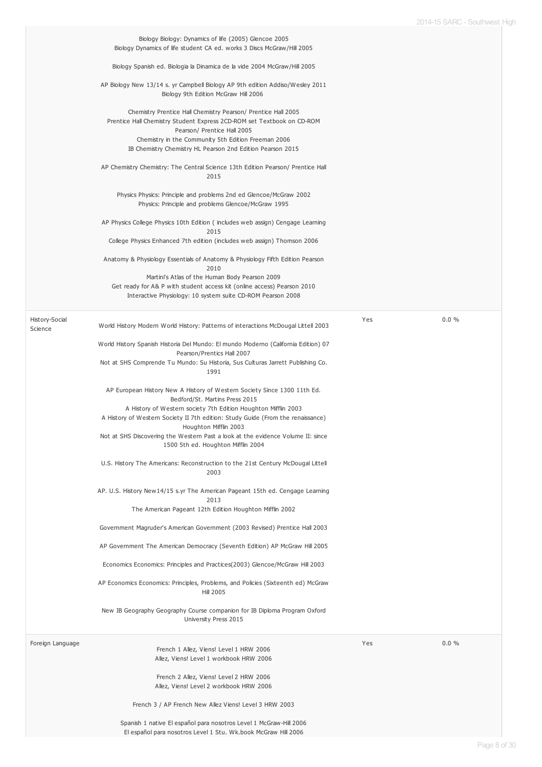|                  | Biology Biology: Dynamics of life (2005) Glencoe 2005<br>Biology Dynamics of life student CA ed. works 3 Discs McGraw/Hill 2005                                                                                                                                                                                                                                                                                   |     |      |
|------------------|-------------------------------------------------------------------------------------------------------------------------------------------------------------------------------------------------------------------------------------------------------------------------------------------------------------------------------------------------------------------------------------------------------------------|-----|------|
|                  | Biology Spanish ed. Biologia la Dinamica de la vide 2004 McGraw/Hill 2005                                                                                                                                                                                                                                                                                                                                         |     |      |
|                  | AP Biology New 13/14 s. yr Campbell Biology AP 9th edition Addiso/Wesley 2011<br>Biology 9th Edition McGraw Hill 2006                                                                                                                                                                                                                                                                                             |     |      |
|                  | Chemistry Prentice Hall Chemistry Pearson/ Prentice Hall 2005<br>Prentice Hall Chemistry Student Express 2CD-ROM set Textbook on CD-ROM<br>Pearson/ Prentice Hall 2005<br>Chemistry in the Community 5th Edition Freeman 2006<br>IB Chemistry Chemistry HL Pearson 2nd Edition Pearson 2015                                                                                                                       |     |      |
|                  | AP Chemistry Chemistry: The Central Science 13th Edition Pearson/ Prentice Hall<br>2015                                                                                                                                                                                                                                                                                                                           |     |      |
|                  | Physics Physics: Principle and problems 2nd ed Glencoe/McGraw 2002<br>Physics: Principle and problems Glencoe/McGraw 1995                                                                                                                                                                                                                                                                                         |     |      |
|                  | AP Physics College Physics 10th Edition (includes web assign) Cengage Learning                                                                                                                                                                                                                                                                                                                                    |     |      |
|                  | 2015<br>College Physics Enhanced 7th edition (includes web assign) Thomson 2006                                                                                                                                                                                                                                                                                                                                   |     |      |
|                  | Anatomy & Physiology Essentials of Anatomy & Physiology Fifth Edition Pearson<br>2010                                                                                                                                                                                                                                                                                                                             |     |      |
|                  | Martini's Atlas of the Human Body Pearson 2009<br>Get ready for A& P with student access kit (online access) Pearson 2010<br>Interactive Physiology: 10 system suite CD-ROM Pearson 2008                                                                                                                                                                                                                          |     |      |
| History-Social   | World History Modern World History: Patterns of interactions McDougal Littell 2003                                                                                                                                                                                                                                                                                                                                | Yes | 0.0% |
| Science          | World History Spanish Historia Del Mundo: El mundo Moderno (California Edition) 07                                                                                                                                                                                                                                                                                                                                |     |      |
|                  | Pearson/Prentics Hall 2007<br>Not at SHS Comprende Tu Mundo: Su Historia, Sus Culturas Jarrett Publishing Co.<br>1991                                                                                                                                                                                                                                                                                             |     |      |
|                  | AP European History New A History of Western Society Since 1300 11th Ed.<br>Bedford/St. Martins Press 2015<br>A History of Western society 7th Edition Houghton Mifflin 2003<br>A History of Western Society II 7th edition: Study Guide (From the renaissance)<br>Houghton Mifflin 2003<br>Not at SHS Discovering the Western Past a look at the evidence Volume II: since<br>1500 5th ed. Houghton Mifflin 2004 |     |      |
|                  | U.S. History The Americans: Reconstruction to the 21st Century McDougal Littell<br>2003                                                                                                                                                                                                                                                                                                                           |     |      |
|                  | AP. U.S. History New 14/15 s.yr The American Pageant 15th ed. Cengage Learning<br>2013<br>The American Pageant 12th Edition Houghton Mifflin 2002                                                                                                                                                                                                                                                                 |     |      |
|                  | Government Magruder's American Government (2003 Revised) Prentice Hall 2003                                                                                                                                                                                                                                                                                                                                       |     |      |
|                  | AP Government The American Democracy (Seventh Edition) AP McGraw Hill 2005                                                                                                                                                                                                                                                                                                                                        |     |      |
|                  | Economics Economics: Principles and Practices(2003) Glencoe/McGraw Hill 2003                                                                                                                                                                                                                                                                                                                                      |     |      |
|                  | AP Economics Economics: Principles, Problems, and Policies (Sixteenth ed) McGraw<br><b>Hill 2005</b>                                                                                                                                                                                                                                                                                                              |     |      |
|                  | New IB Geography Geography Course companion for IB Diploma Program Oxford<br>University Press 2015                                                                                                                                                                                                                                                                                                                |     |      |
| Foreign Language | French 1 Allez, Viens! Level 1 HRW 2006<br>Allez, Viens! Level 1 workbook HRW 2006                                                                                                                                                                                                                                                                                                                                | Yes | 0.0% |
|                  | French 2 Allez, Viens! Level 2 HRW 2006<br>Allez, Viens! Level 2 workbook HRW 2006                                                                                                                                                                                                                                                                                                                                |     |      |
|                  | French 3 / AP French New Allez Viens! Level 3 HRW 2003                                                                                                                                                                                                                                                                                                                                                            |     |      |
|                  |                                                                                                                                                                                                                                                                                                                                                                                                                   |     |      |

Spanish 1 native El español para nosotros Level 1 McGraw-Hill 2006 El español para nosotros Level 1 Stu. Wk.book McGraw Hill 2006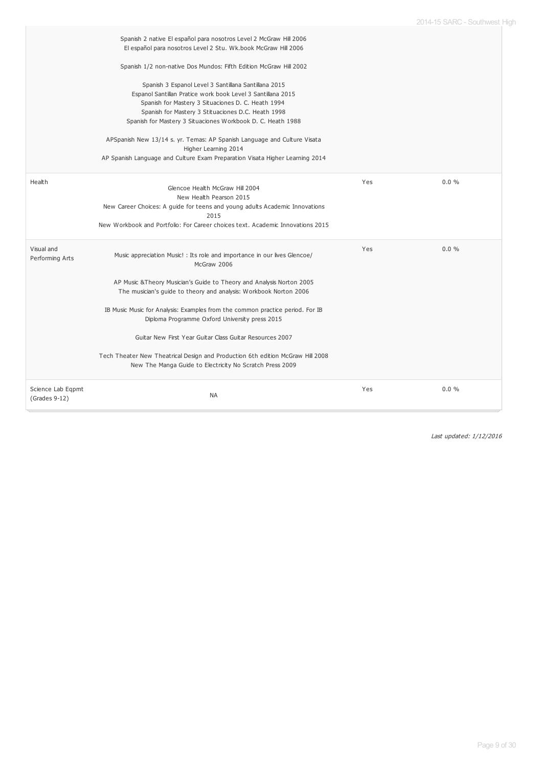|                                    | Spanish 2 native El español para nosotros Level 2 McGraw Hill 2006<br>El español para nosotros Level 2 Stu. Wk.book McGraw Hill 2006                                                                                                                                                           |     |       |
|------------------------------------|------------------------------------------------------------------------------------------------------------------------------------------------------------------------------------------------------------------------------------------------------------------------------------------------|-----|-------|
|                                    | Spanish 1/2 non-native Dos Mundos: Fifth Edition McGraw Hill 2002                                                                                                                                                                                                                              |     |       |
|                                    | Spanish 3 Espanol Level 3 Santillana Santillana 2015<br>Espanol Santillan Pratice work book Level 3 Santillana 2015<br>Spanish for Mastery 3 Situaciones D. C. Heath 1994<br>Spanish for Mastery 3 Stituaciones D.C. Heath 1998<br>Spanish for Mastery 3 Situaciones Workbook D. C. Heath 1988 |     |       |
|                                    | APSpanish New 13/14 s. yr. Temas: AP Spanish Language and Culture Visata<br>Higher Learning 2014<br>AP Spanish Language and Culture Exam Preparation Visata Higher Learning 2014                                                                                                               |     |       |
| Health                             | Glencoe Health McGraw Hill 2004<br>New Health Pearson 2015<br>New Career Choices: A guide for teens and young adults Academic Innovations<br>2015<br>New Workbook and Portfolio: For Career choices text, Academic Innovations 2015                                                            | Yes | 0.0%  |
| Visual and<br>Performing Arts      | Music appreciation Music! : Its role and importance in our lives Glencoe/<br>McGraw 2006                                                                                                                                                                                                       | Yes | 0.0%  |
|                                    | AP Music & Theory Musician's Guide to Theory and Analysis Norton 2005<br>The musician's guide to theory and analysis: Workbook Norton 2006                                                                                                                                                     |     |       |
|                                    | IB Music Music for Analysis: Examples from the common practice period. For IB<br>Diploma Programme Oxford University press 2015                                                                                                                                                                |     |       |
|                                    | Guitar New First Year Guitar Class Guitar Resources 2007                                                                                                                                                                                                                                       |     |       |
|                                    | Tech Theater New Theatrical Design and Production 6th edition McGraw Hill 2008<br>New The Manga Guide to Electricity No Scratch Press 2009                                                                                                                                                     |     |       |
| Science Lab Eqpmt<br>(Grades 9-12) | <b>NA</b>                                                                                                                                                                                                                                                                                      | Yes | 0.0 % |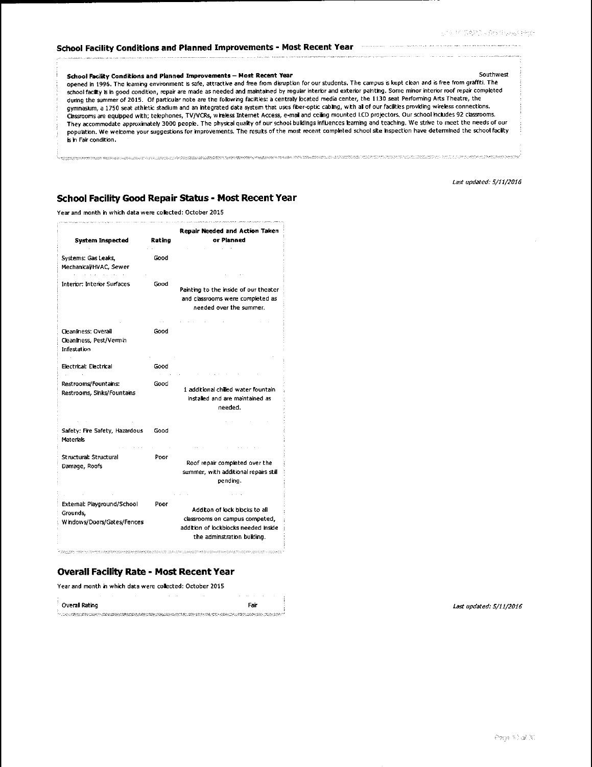.<br>Tang di sebuah di sebuah di sebagai di di sebagai di sebagai di sebuah di sebagai di sebagai di sebagai di seb

and the company of the state of the state of the state of the state of the state of the state of the state of

#### School Facility Conditions and Planned Improvements - Most Recent Year

#### Southwest

#### School Facility Conditions and Planned Improvements - Most Recent Year

opened in 1996. The learning environment is safe, attractive and free from disruption for our students. The campus is kept clean and is free from graffiti. The school facility is in good condition, repair are made as needed and maintained by regular interior and exterior painting. Some minor interior roof repair completed during the summer of 2015. Of particular note are the following facilities: a centrally located media center, the 1130 seat Performing Arts Theatre, the gymnasum, a 1750 seat athletic stadium and an integrated data system that uses fber-optic cabing, with all of our facilities providing wireless connections. They accommodate approximately 3000 people. The physical quality of our school buildings influences learning and teaching. We strive to meet the needs of our population. We we come your suggestions for improvements. The results of the most recent completed school site inspection have determined the school facility is in Fair condition.

Last updated: 5/11/2016

#### School Facility Good Repair Status - Most Recent Year

Year and month in which data were collected: October 2015

| <b>System Inspected</b>                                               | Rating | <b>Repair Needed and Action Taken</b><br>or Planned                                                                                    |
|-----------------------------------------------------------------------|--------|----------------------------------------------------------------------------------------------------------------------------------------|
| Systems: Gas Leaks,<br>Mechanical/HVAC, Sewer                         | Good   |                                                                                                                                        |
| Interior: Interior Surfaces                                           | Good   | Painting to the inside of our theater<br>and classrooms were completed as<br>needed over the summer.                                   |
| Cleanliness: Overall<br>Cleanliness, Pest/Vermin<br>Infestation       | Cood   |                                                                                                                                        |
| Electrical: Electrical                                                | Cood   |                                                                                                                                        |
| Restrooms/Fountains:<br>Restrooms, Sinks/Fountains                    | Good   | 1 additional chilled water fountain<br>installed and are maintained as<br>needed.                                                      |
| Safety: Fre Safety, Hazardous<br>Materials                            | Good   |                                                                                                                                        |
| Structural: Structural<br>Damage, Roofs                               | Poor   | Roof repair completed over the<br>summer, with additional repairs still<br>pending.                                                    |
| External: Playground/School<br>Grounds,<br>Windows/Doors/Gates/Fences | Poor   | Additon of lock blocks to all<br>classrooms on campus competed,<br>addition of lockblocks needed inside<br>the adminstration building. |

#### **Overall Facility Rate - Most Recent Year**

Year and month in which data were collected: October 2015

|                                                                                                                          |  |  |  | the contract of the contract of the contract of the contract of the contract of the contract of the contract of |      |  |  |
|--------------------------------------------------------------------------------------------------------------------------|--|--|--|-----------------------------------------------------------------------------------------------------------------|------|--|--|
| Overal Rating                                                                                                            |  |  |  |                                                                                                                 | Fair |  |  |
| in the the strength of resident resident in the strength of the strength of the strength of the strength of the strength |  |  |  |                                                                                                                 |      |  |  |

.<br>Transport the collection of the compact of the compact of the compact of the compact of the collection of the collection of the collection of the collection of the collection of the collection of the collection of the co

Last updated: 5/11/2016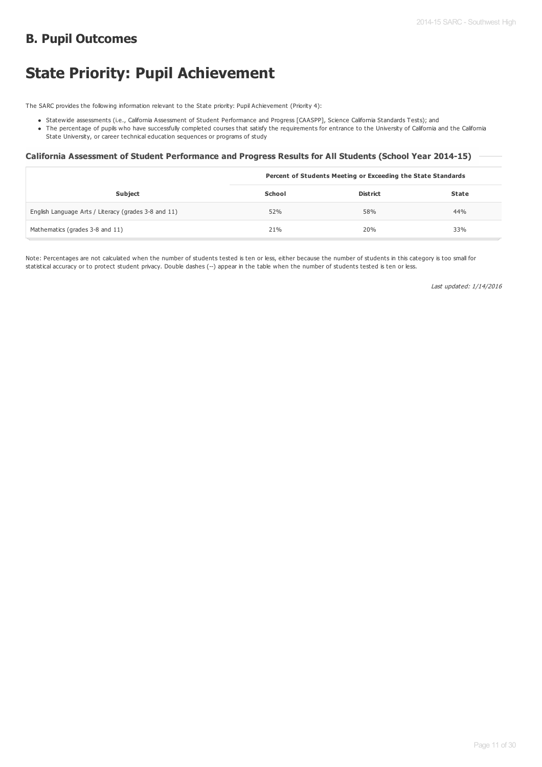## **B. Pupil Outcomes**

# **State Priority: Pupil Achievement**

The SARC provides the following information relevant to the State priority: Pupil Achievement (Priority 4):

- Statewide assessments (i.e., California Assessment of Student Performance and Progress [CAASPP], Science California Standards Tests); and
- The percentage of pupils who have successfully completed courses that satisfy the requirements for entrance to the University of California and the California State University, or career technical education sequences or programs of study

#### **California Assessment of Student Performance and Progress Results for All Students (School Year 2014-15)**

|                                                      |        | Percent of Students Meeting or Exceeding the State Standards |              |  |  |
|------------------------------------------------------|--------|--------------------------------------------------------------|--------------|--|--|
| <b>Subject</b>                                       | School | District                                                     | <b>State</b> |  |  |
| English Language Arts / Literacy (grades 3-8 and 11) | 52%    | 58%                                                          | 44%          |  |  |
| Mathematics (grades 3-8 and 11)                      | 21%    | 20%                                                          | 33%          |  |  |

Note: Percentages are not calculated when the number of students tested is ten or less, either because the number of students in this category is too small for statistical accuracy or to protect student privacy. Double dashes (--) appear in the table when the number of students tested is ten or less.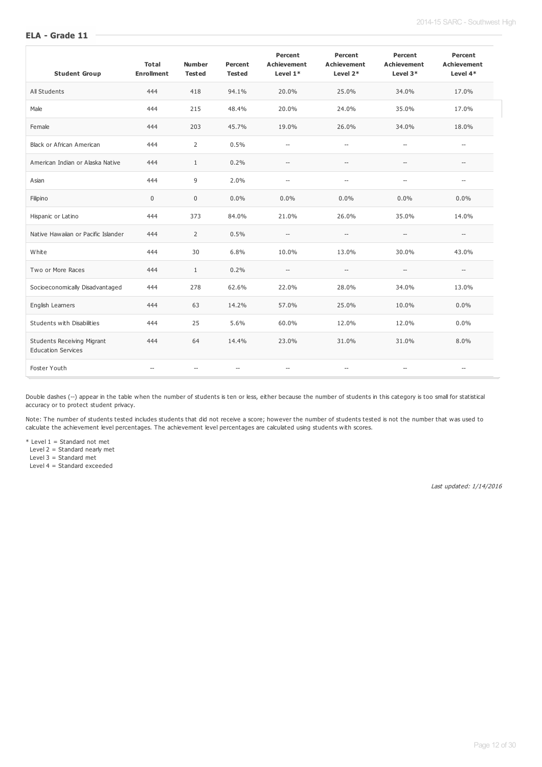| <b>Student Group</b>                                           | Total<br><b>Enrollment</b> | <b>Number</b><br><b>Tested</b> | Percent<br><b>Tested</b> | Percent<br><b>Achievement</b><br>Level $1*$ | Percent<br><b>Achievement</b><br>Level 2* | Percent<br><b>Achievement</b><br>Level $3*$ | Percent<br><b>Achievement</b><br>Level $4*$ |
|----------------------------------------------------------------|----------------------------|--------------------------------|--------------------------|---------------------------------------------|-------------------------------------------|---------------------------------------------|---------------------------------------------|
| All Students                                                   | 444                        | 418                            | 94.1%                    | 20.0%                                       | 25.0%                                     | 34.0%                                       | 17.0%                                       |
| Male                                                           | 444                        | 215                            | 48.4%                    | 20.0%                                       | 24.0%                                     | 35.0%                                       | 17.0%                                       |
| Female                                                         | 444                        | 203                            | 45.7%                    | 19.0%                                       | 26.0%                                     | 34.0%                                       | 18.0%                                       |
| <b>Black or African American</b>                               | 444                        | $\overline{2}$                 | 0.5%                     | $\overline{\phantom{a}}$                    | $\hspace{0.05cm} -\hspace{0.05cm}$        | $\overline{a}$                              | $\overline{a}$                              |
| American Indian or Alaska Native                               | 444                        | $\mathbf{1}$                   | 0.2%                     | $\overline{\phantom{a}}$                    | $-$                                       | $-$                                         | $-$                                         |
| Asian                                                          | 444                        | 9                              | 2.0%                     | $\overline{\phantom{a}}$                    | $\overline{\phantom{a}}$                  | $\overline{a}$                              | $\overline{a}$                              |
| Filipino                                                       | $\Omega$                   | $\mathbf 0$                    | 0.0%                     | 0.0%                                        | 0.0%                                      | 0.0%                                        | 0.0%                                        |
| Hispanic or Latino                                             | 444                        | 373                            | 84.0%                    | 21.0%                                       | 26.0%                                     | 35.0%                                       | 14.0%                                       |
| Native Hawaiian or Pacific Islander                            | 444                        | $\overline{2}$                 | 0.5%                     | $\qquad \qquad -$                           | $\overline{\phantom{a}}$                  |                                             |                                             |
| White                                                          | 444                        | 30                             | 6.8%                     | 10.0%                                       | 13.0%                                     | 30.0%                                       | 43.0%                                       |
| Two or More Races                                              | 444                        | $\mathbf{1}$                   | 0.2%                     | $\overline{\phantom{a}}$                    | $\overline{a}$                            | $\overline{a}$                              |                                             |
| Socioeconomically Disadvantaged                                | 444                        | 278                            | 62.6%                    | 22.0%                                       | 28.0%                                     | 34.0%                                       | 13.0%                                       |
| English Learners                                               | 444                        | 63                             | 14.2%                    | 57.0%                                       | 25.0%                                     | 10.0%                                       | 0.0%                                        |
| Students with Disabilities                                     | 444                        | 25                             | 5.6%                     | 60.0%                                       | 12.0%                                     | 12.0%                                       | $0.0\%$                                     |
| <b>Students Receiving Migrant</b><br><b>Education Services</b> | 444                        | 64                             | 14.4%                    | 23.0%                                       | 31.0%                                     | 31.0%                                       | 8.0%                                        |
| Foster Youth                                                   |                            | $\overline{\phantom{a}}$       | $\overline{\phantom{0}}$ | $\overline{\phantom{a}}$                    | $\overline{\phantom{a}}$                  | $\overline{a}$                              | $-$                                         |

Double dashes (--) appear in the table when the number of students is ten or less, either because the number of students in this category is too small for statistical accuracy or to protect student privacy.

Note: The number of students tested includes students that did not receive a score; however the number of students tested is not the number that was used to calculate the achievement level percentages. The achievement level percentages are calculated using students with scores.

\* Level 1 = Standard not met

Level 2 = Standard nearly met

Level 3 = Standard met

Level 4 = Standard exceeded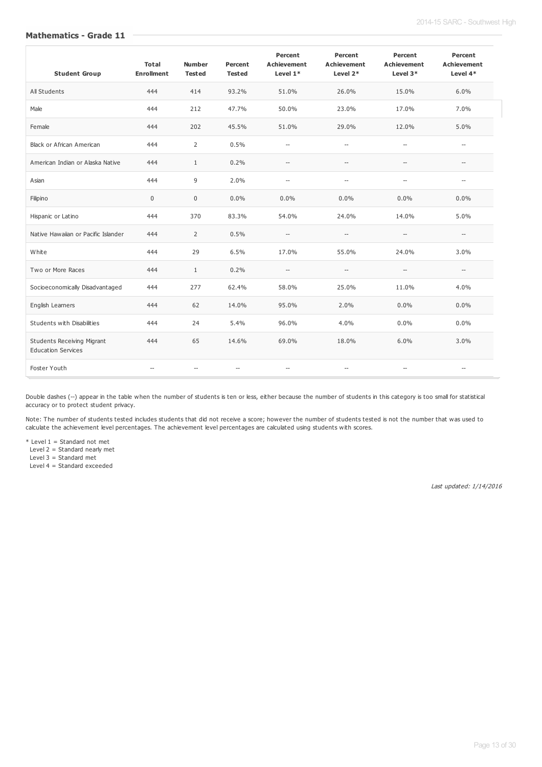## **Mathematics - Grade 11**

| <b>Student Group</b>                                           | Total<br><b>Enrollment</b> | <b>Number</b><br><b>Tested</b> | Percent<br><b>Tested</b> | Percent<br><b>Achievement</b><br>Level $1*$ | Percent<br><b>Achievement</b><br>Level 2*           | Percent<br><b>Achievement</b><br>Level 3* | Percent<br><b>Achievement</b><br>Level 4* |
|----------------------------------------------------------------|----------------------------|--------------------------------|--------------------------|---------------------------------------------|-----------------------------------------------------|-------------------------------------------|-------------------------------------------|
| All Students                                                   | 444                        | 414                            | 93.2%                    | 51.0%                                       | 26.0%                                               | 15.0%                                     | 6.0%                                      |
| Male                                                           | 444                        | 212                            | 47.7%                    | 50.0%                                       | 23.0%                                               | 17.0%                                     | 7.0%                                      |
| Female                                                         | 444                        | 202                            | 45.5%                    | 51.0%                                       | 29.0%                                               | 12.0%                                     | 5.0%                                      |
| <b>Black or African American</b>                               | 444                        | $\overline{2}$                 | 0.5%                     | $\overline{a}$                              | $-$                                                 | $\overline{\phantom{a}}$                  | $\overline{\phantom{a}}$                  |
| American Indian or Alaska Native                               | 444                        | $\mathbf{1}$                   | 0.2%                     | $\overline{a}$                              | $\hspace{0.05cm} -\hspace{0.05cm} -\hspace{0.05cm}$ | $\overline{\phantom{a}}$                  | $\overline{a}$                            |
| Asian                                                          | 444                        | 9                              | 2.0%                     | $\overline{a}$                              | $\overline{\phantom{a}}$                            | $\overline{\phantom{a}}$                  | $\overline{\phantom{a}}$                  |
| Filipino                                                       | $\Omega$                   | $\mathbf 0$                    | 0.0%                     | 0.0%                                        | 0.0%                                                | 0.0%                                      | 0.0%                                      |
| Hispanic or Latino                                             | 444                        | 370                            | 83.3%                    | 54.0%                                       | 24.0%                                               | 14.0%                                     | 5.0%                                      |
| Native Hawaiian or Pacific Islander                            | 444                        | 2                              | 0.5%                     | $\hspace{0.05cm} -\hspace{0.05cm}$          | $\overline{\phantom{a}}$                            | $-$                                       | $-$                                       |
| White                                                          | 444                        | 29                             | 6.5%                     | 17.0%                                       | 55.0%                                               | 24.0%                                     | 3.0%                                      |
| Two or More Races                                              | 444                        | $\mathbf{1}$                   | 0.2%                     | $\hspace{0.05cm} -\hspace{0.05cm}$          | $\overline{\phantom{0}}$                            | $\overline{a}$                            | $\overline{a}$                            |
| Socioeconomically Disadvantaged                                | 444                        | 277                            | 62.4%                    | 58.0%                                       | 25.0%                                               | 11.0%                                     | 4.0%                                      |
| English Learners                                               | 444                        | 62                             | 14.0%                    | 95.0%                                       | 2.0%                                                | 0.0%                                      | $0.0\%$                                   |
| Students with Disabilities                                     | 444                        | 24                             | 5.4%                     | 96.0%                                       | 4.0%                                                | 0.0%                                      | $0.0\%$                                   |
| <b>Students Receiving Migrant</b><br><b>Education Services</b> | 444                        | 65                             | 14.6%                    | 69.0%                                       | 18.0%                                               | 6.0%                                      | 3.0%                                      |
| Foster Youth                                                   |                            |                                |                          | --                                          |                                                     |                                           |                                           |

Double dashes (--) appear in the table when the number of students is ten or less, either because the number of students in this category is too small for statistical accuracy or to protect student privacy.

Note: The number of students tested includes students that did not receive a score; however the number of students tested is not the number that was used to calculate the achievement level percentages. The achievement level percentages are calculated using students with scores.

\* Level 1 = Standard not met

Level 2 = Standard nearly met

Level 3 = Standard met

Level 4 = Standard exceeded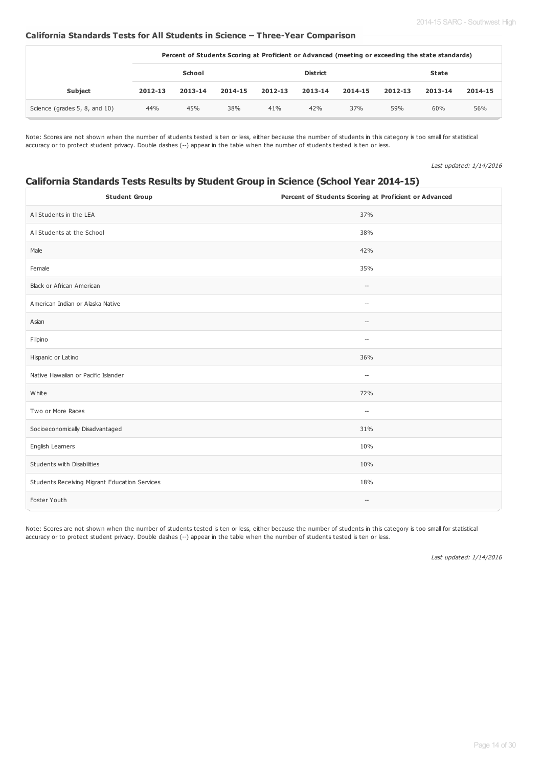## **California Standards Tests for All Students in Science – Three-Year Comparison**

|                               | Percent of Students Scoring at Proficient or Advanced (meeting or exceeding the state standards) |         |         |         |                 |         |         |              |         |  |
|-------------------------------|--------------------------------------------------------------------------------------------------|---------|---------|---------|-----------------|---------|---------|--------------|---------|--|
|                               |                                                                                                  | School  |         |         | <b>District</b> |         |         | <b>State</b> |         |  |
| <b>Subject</b>                | 2012-13                                                                                          | 2013-14 | 2014-15 | 2012-13 | 2013-14         | 2014-15 | 2012-13 | 2013-14      | 2014-15 |  |
| Science (grades 5, 8, and 10) | 44%                                                                                              | 45%     | 38%     | 41%     | 42%             | 37%     | 59%     | 60%          | 56%     |  |

Note: Scores are not shown when the number of students tested is ten or less, either because the number of students in this category is too small for statistical accuracy or to protect student privacy. Double dashes (--) appear in the table when the number of students tested is ten or less.

Last updated: 1/14/2016

## **California Standards Tests Results by Student Group in Science (School Year 2014-15)**

| <b>Student Group</b>                          | Percent of Students Scoring at Proficient or Advanced |
|-----------------------------------------------|-------------------------------------------------------|
| All Students in the LEA                       | 37%                                                   |
| All Students at the School                    | 38%                                                   |
| Male                                          | 42%                                                   |
| Female                                        | 35%                                                   |
| Black or African American                     | $\overline{\phantom{a}}$                              |
| American Indian or Alaska Native              | $\overline{\phantom{a}}$                              |
| Asian                                         | $\hspace{0.05cm} -\hspace{0.05cm} -\hspace{0.05cm}$   |
| Filipino                                      | $\overline{\phantom{a}}$                              |
| Hispanic or Latino                            | 36%                                                   |
| Native Hawaiian or Pacific Islander           | $\overline{\phantom{a}}$                              |
| White                                         | 72%                                                   |
| Two or More Races                             | $\overline{\phantom{a}}$                              |
| Socioeconomically Disadvantaged               | 31%                                                   |
| English Learners                              | 10%                                                   |
| Students with Disabilities                    | 10%                                                   |
| Students Receiving Migrant Education Services | 18%                                                   |
| Foster Youth                                  | $\hspace{0.05cm} \ldots$                              |

Note: Scores are not shown when the number of students tested is ten or less, either because the number of students in this category is too small for statistical accuracy or to protect student privacy. Double dashes (--) appear in the table when the number of students tested is ten or less.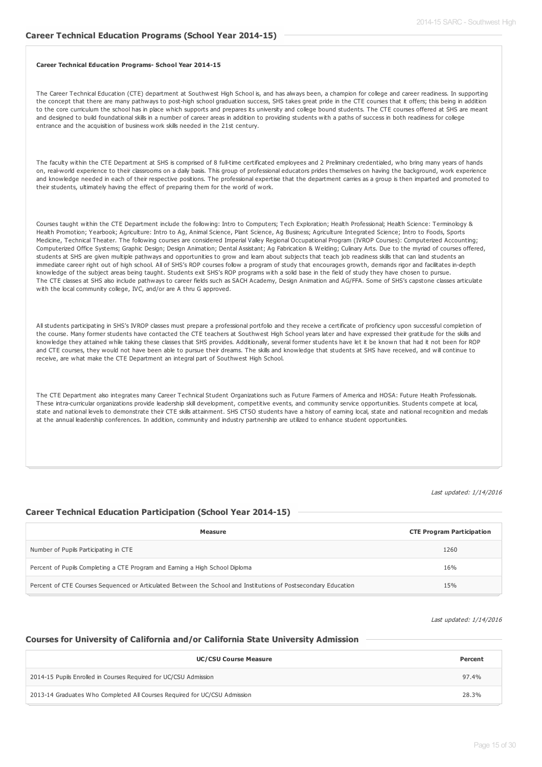#### **Career Technical Education Programs- School Year 2014-15**

The Career Technical Education (CTE) department at Southwest High School is, and has always been, a champion for college and career readiness. In supporting the concept that there are many pathways to post-high school graduation success, SHS takes great pride in the CTE courses that it offers; this being in addition to the core curriculum the school has in place which supports and prepares its university and college bound students. The CTE courses offered at SHS are meant and designed to build foundational skills in a number of career areas in addition to providing students with a paths of success in both readiness for college entrance and the acquisition of business work skills needed in the 21st century.

The faculty within the CTE Department at SHS is comprised of 8 full-time certificated employees and 2 Preliminary credentialed, who bring many years of hands on, real-world experience to their classrooms on a daily basis. This group of professional educators prides themselves on having the background, work experience and knowledge needed in each of their respective positions. The professional expertise that the department carries as a group is then imparted and promoted to their students, ultimately having the effect of preparing them for the world of work.

Courses taught within the CTE Department include the following: Intro to Computers; Tech Exploration; Health Professional; Health Science: Terminology & Health Promotion; Yearbook; Agriculture: Intro to Ag, Animal Science, Plant Science, Ag Business; Agriculture Integrated Science; Intro to Foods, Sports Medicine, Technical Theater. The following courses are considered Imperial Valley Regional Occupational Program (IVROP Courses): Computerized Accounting; Computerized Office Systems; Graphic Design; Design Animation; Dental Assistant; Ag Fabrication & Welding; Culinary Arts. Due to the myriad of courses offered, students at SHS are given multiple pathways and opportunities to grow and learn about subjects that teach job readiness skills that can land students an immediate career right out of high school. All of SHS's ROP courses follow a program of study that encourages growth, demands rigor and facilitates in-depth knowledge of the subject areas being taught. Students exit SHS's ROP programs with a solid base in the field of study they have chosen to pursue. The CTE classes at SHS also include pathways to career fields such as SACH Academy, Design Animation and AG/FFA. Some of SHS's capstone classes articulate with the local community college, IVC, and/or are A thru G approved.

All students participating in SHS's IVROP classes must prepare a professional portfolio and they receive a certificate of proficiency upon successful completion of the course. Many former students have contacted the CTE teachers at Southwest High School years later and have expressed their gratitude for the skills and knowledge they attained while taking these classes that SHS provides. Additionally, several former students have let it be known that had it not been for ROP and CTE courses, they would not have been able to pursue their dreams. The skills and knowledge that students at SHS have received, and will continue to receive, are what make the CTE Department an integral part of Southwest High School.

The CTE Department also integrates many Career Technical Student Organizations such as Future Farmers of America and HOSA: Future Health Professionals. These intra-curricular organizations provide leadership skill development, competitive events, and community service opportunities. Students compete at local, state and national levels to demonstrate their CTE skills attainment. SHS CTSO students have a history of earning local, state and national recognition and medals at the annual leadership conferences. In addition, community and industry partnership are utilized to enhance student opportunities.

#### Last updated: 1/14/2016

### **Career Technical Education Participation (School Year 2014-15)**

| Measure                                                                                                        | <b>CTE Program Participation</b> |
|----------------------------------------------------------------------------------------------------------------|----------------------------------|
| Number of Pupils Participating in CTE                                                                          | 1260                             |
| Percent of Pupils Completing a CTE Program and Earning a High School Diploma                                   | 16%                              |
| Percent of CTE Courses Sequenced or Articulated Between the School and Institutions of Postsecondary Education | 15%                              |

#### Last updated: 1/14/2016

#### **Courses for University of California and/or California State University Admission**

| <b>UC/CSU Course Measure</b>                                              |       |  |  |  |  |
|---------------------------------------------------------------------------|-------|--|--|--|--|
| 2014-15 Pupils Enrolled in Courses Required for UC/CSU Admission          | 97.4% |  |  |  |  |
| 2013-14 Graduates Who Completed All Courses Required for UC/CSU Admission | 28.3% |  |  |  |  |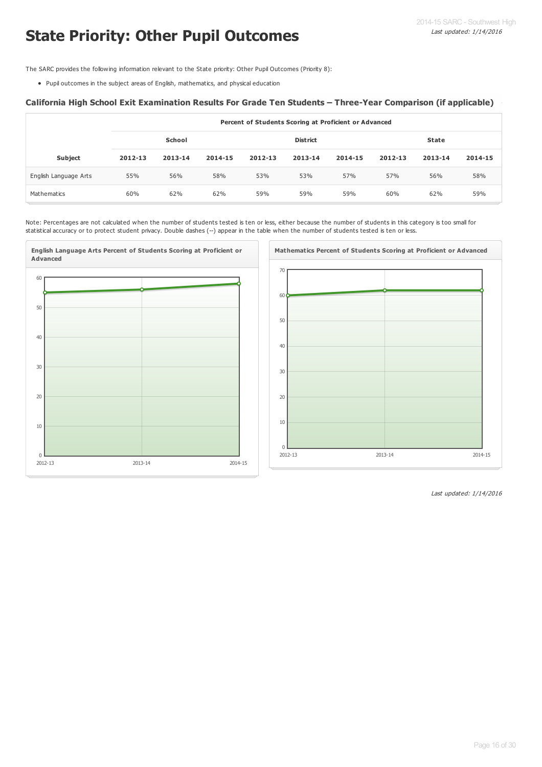# **State Priority: Other Pupil Outcomes**

The SARC provides the following information relevant to the State priority: Other Pupil Outcomes (Priority 8):

Pupil outcomes in the subject areas of English, mathematics, and physical education

### **California High School Exit Examination Results For Grade Ten Students – Three-Year Comparison (if applicable)**

|                       |         |         |         |                 | Percent of Students Scoring at Proficient or Advanced |         |         |         |         |
|-----------------------|---------|---------|---------|-----------------|-------------------------------------------------------|---------|---------|---------|---------|
|                       |         | School  |         | <b>District</b> |                                                       |         | State   |         |         |
| Subject               | 2012-13 | 2013-14 | 2014-15 | 2012-13         | 2013-14                                               | 2014-15 | 2012-13 | 2013-14 | 2014-15 |
| English Language Arts | 55%     | 56%     | 58%     | 53%             | 53%                                                   | 57%     | 57%     | 56%     | 58%     |
| Mathematics           | 60%     | 62%     | 62%     | 59%             | 59%                                                   | 59%     | 60%     | 62%     | 59%     |

Note: Percentages are not calculated when the number of students tested is ten or less, either because the number of students in this category is too small for statistical accuracy or to protect student privacy. Double dashes (--) appear in the table when the number of students tested is ten or less.



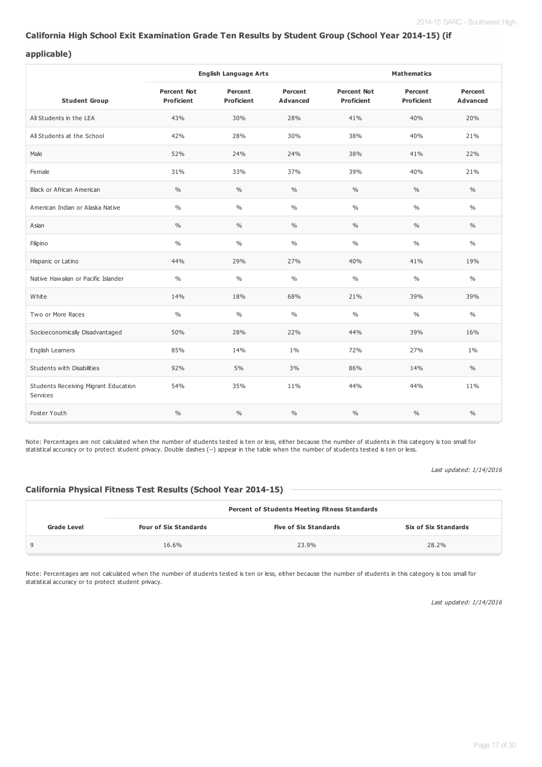## **California High School Exit Examination Grade Ten Results by Student Group (School Year 2014-15) (if**

### **applicable)**

|                                                  | <b>English Language Arts</b><br><b>Mathematics</b> |                              |                            |                                         |                              |                            |
|--------------------------------------------------|----------------------------------------------------|------------------------------|----------------------------|-----------------------------------------|------------------------------|----------------------------|
| <b>Student Group</b>                             | <b>Percent Not</b><br>Proficient                   | Percent<br><b>Proficient</b> | Percent<br><b>Advanced</b> | <b>Percent Not</b><br><b>Proficient</b> | Percent<br><b>Proficient</b> | Percent<br><b>Advanced</b> |
| All Students in the LEA                          | 43%                                                | 30%                          | 28%                        | 41%                                     | 40%                          | 20%                        |
| All Students at the School                       | 42%                                                | 28%                          | 30%                        | 38%                                     | 40%                          | 21%                        |
| Male                                             | 52%                                                | 24%                          | 24%                        | 38%                                     | 41%                          | 22%                        |
| Female                                           | 31%                                                | 33%                          | 37%                        | 39%                                     | 40%                          | 21%                        |
| <b>Black or African American</b>                 | $\frac{0}{0}$                                      | $\frac{0}{0}$                | $\frac{0}{0}$              | $\%$                                    | $\frac{0}{0}$                | $\%$                       |
| American Indian or Alaska Native                 | $\frac{0}{0}$                                      | $\frac{0}{0}$                | $\frac{0}{0}$              | $\frac{0}{0}$                           | $\frac{0}{0}$                | $\frac{0}{0}$              |
| Asian                                            | $\frac{0}{0}$                                      | $\frac{0}{0}$                | $\frac{0}{0}$              | $\%$                                    | $\frac{0}{0}$                | $\frac{0}{0}$              |
| Filipino                                         | $\%$                                               | $\frac{0}{0}$                | $\frac{0}{0}$              | $\%$                                    | $\frac{0}{0}$                | $\%$                       |
| Hispanic or Latino                               | 44%                                                | 29%                          | 27%                        | 40%                                     | 41%                          | 19%                        |
| Native Hawaiian or Pacific Islander              | $\%$                                               | $\frac{0}{0}$                | $\frac{0}{0}$              | $\%$                                    | $\frac{0}{0}$                | $\%$                       |
| White                                            | 14%                                                | 18%                          | 68%                        | 21%                                     | 39%                          | 39%                        |
| Two or More Races                                | $\frac{0}{0}$                                      | $\frac{0}{0}$                | $\frac{0}{0}$              | $\frac{0}{0}$                           | $\frac{0}{0}$                | $\%$                       |
| Socioeconomically Disadvantaged                  | 50%                                                | 28%                          | 22%                        | 44%                                     | 39%                          | 16%                        |
| English Learners                                 | 85%                                                | 14%                          | $1\%$                      | 72%                                     | 27%                          | $1\%$                      |
| Students with Disabilities                       | 92%                                                | 5%                           | 3%                         | 86%                                     | 14%                          | $\%$                       |
| Students Receiving Migrant Education<br>Services | 54%                                                | 35%                          | 11%                        | 44%                                     | 44%                          | 11%                        |
| Foster Youth                                     | $\frac{0}{0}$                                      | $\frac{0}{0}$                | $\frac{0}{0}$              | $\%$                                    | $\frac{0}{0}$                | $\frac{0}{0}$              |

Note: Percentages are not calculated when the number of students tested is ten or less, either because the number of students in this category is too small for statistical accuracy or to protect student privacy. Double dashes (--) appear in the table when the number of students tested is ten or less.

Last updated: 1/14/2016

## **California Physical Fitness Test Results (School Year 2014-15)**

|             | <b>Percent of Students Meeting Fitness Standards</b> |                              |                             |  |  |
|-------------|------------------------------------------------------|------------------------------|-----------------------------|--|--|
| Grade Level | <b>Four of Six Standards</b>                         | <b>Five of Six Standards</b> | <b>Six of Six Standards</b> |  |  |
| Q           | 16.6%                                                | 23.9%                        | 28.2%                       |  |  |

Note: Percentages are not calculated when the number of students tested is ten or less, either because the number of students in this category is too small for statistical accuracy or to protect student privacy.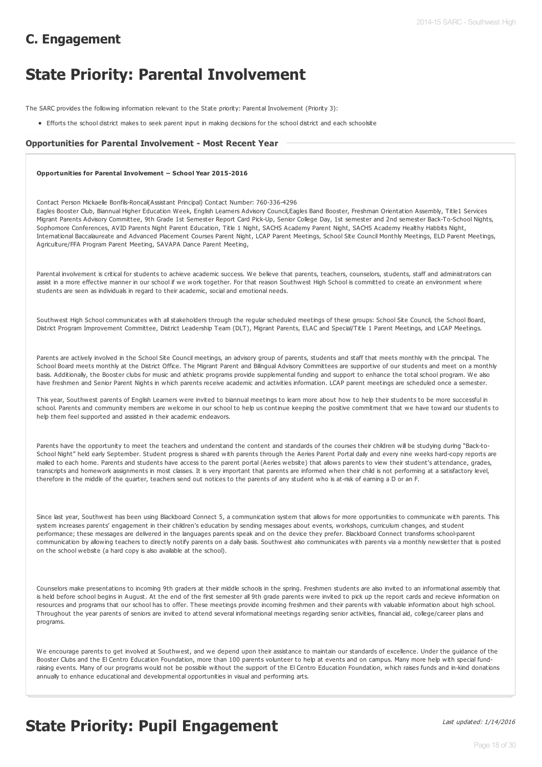## **C. Engagement**

# **State Priority: Parental Involvement**

The SARC provides the following information relevant to the State priority: Parental Involvement (Priority 3):

Efforts the school district makes to seek parent input in making decisions for the school district and each schoolsite

#### **Opportunities for Parental Involvement - Most Recent Year**

**Opportunities for Parental Involvement – School Year 2015-2016**

Contact Person Mickaelle Bonfils-Roncal(Assistant Principal) Contact Number: 760-336-4296

Eagles Booster Club, Biannual Higher Education Week, English Learners Advisory Council,Eagles Band Booster, Freshman Orientation Assembly, Title1 Services Migrant Parents Advisory Committee, 9th Grade 1st Semester Report Card Pick-Up, Senior College Day, 1st semester and 2nd semester Back-To-School Nights, Sophomore Conferences, AVID Parents Night Parent Education, Title 1 Night, SACHS Academy Parent Night, SACHS Academy Healthy Habbits Night, International Baccalaureate and Advanced Placement Courses Parent Night, LCAP Parent Meetings, School Site Council Monthly Meetings, ELD Parent Meetings, Agriculture/FFA Program Parent Meeting, SAVAPA Dance Parent Meeting,

Parental involvement is critical for students to achieve academic success. We believe that parents, teachers, counselors, students, staff and administrators can assist in a more effective manner in our school if we work together. For that reason Southwest High School is committed to create an environment where students are seen as individuals in regard to their academic, social and emotional needs.

Southwest High School communicates with all stakeholders through the regular scheduled meetings of these groups: School Site Council, the School Board, District Program Improvement Committee, District Leadership Team (DLT), Migrant Parents, ELAC and Special/Title 1 Parent Meetings, and LCAP Meetings.

Parents are actively involved in the School Site Council meetings, an advisory group of parents, students and staff that meets monthly with the principal. The School Board meets monthly at the District Office. The Migrant Parent and Bilingual Advisory Committees are supportive of our students and meet on a monthly basis. Additionally, the Booster clubs for music and athletic programs provide supplemental funding and support to enhance the total school program. We also have freshmen and Senior Parent Nights in which parents receive academic and activities information. LCAP parent meetings are scheduled once a semester.

This year, Southwest parents of English Learners were invited to biannual meetings to learn more about how to help their students to be more successful in school. Parents and community members are welcome in our school to help us continue keeping the positive commitment that we have toward our students to help them feel supported and assisted in their academic endeavors.

Parents have the opportunity to meet the teachers and understand the content and standards of the courses their children will be studying during "Back-to-School Night" held early September. Student progress is shared with parents through the Aeries Parent Portal daily and every nine weeks hard-copy reports are mailed to each home. Parents and students have access to the parent portal (Aeries website) that allows parents to view their student's attendance, grades, transcripts and homework assignments in most classes. It is very important that parents are informed when their child is not performing at a satisfactory level, therefore in the middle of the quarter, teachers send out notices to the parents of any student who is at-risk of earning a D or an F.

Since last year, Southwest has been using Blackboard Connect 5, a communication system that allows for more opportunities to communicate with parents. This system increases parents' engagement in their children's education by sending messages about events, workshops, curriculum changes, and student performance; these messages are delivered in the languages parents speak and on the device they prefer. Blackboard Connect transforms school-parent communication by allowing teachers to directly notify parents on a daily basis. Southwest also communicates with parents via a monthly newsletter that is posted on the school website (a hard copy is also available at the school).

Counselors make presentations to incoming 9th graders at their middle schools in the spring. Freshmen students are also invited to an informational assembly that is held before school begins in August. At the end of the first semester all 9th grade parents were invited to pick up the report cards and recieve information on resources and programs that our school has to offer. These meetings provide incoming freshmen and their parents with valuable information about high school. Throughout the year parents of seniors are invited to attend several informational meetings regarding senior activities, financial aid, college/career plans and programs.

We encourage parents to get involved at Southwest, and we depend upon their assistance to maintain our standards of excellence. Under the guidance of the Booster Clubs and the El Centro Education Foundation, more than 100 parents volunteer to help at events and on campus. Many more help with special fundraising events. Many of our programs would not be possible without the support of the El Centro Education Foundation, which raises funds and in-kind donations annually to enhance educational and developmental opportunities in visual and performing arts.

# **State Priority: Pupil Engagement**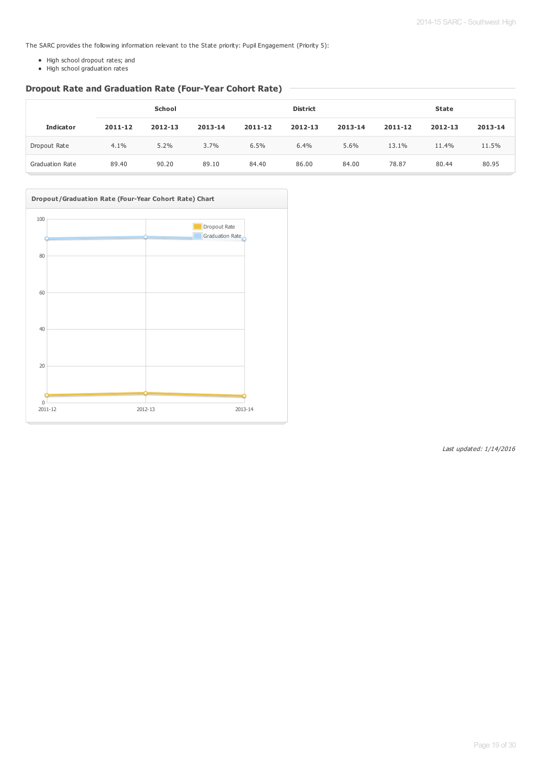The SARC provides the following information relevant to the State priority: Pupil Engagement (Priority 5):

**Dropout Rate and Graduation Rate (Four-Year Cohort Rate)**

- High school dropout rates; and
- High school graduation rates

|                        | School  |         |         | <b>District</b> |         |         | <b>State</b> |         |         |
|------------------------|---------|---------|---------|-----------------|---------|---------|--------------|---------|---------|
| <b>Indicator</b>       | 2011-12 | 2012-13 | 2013-14 | 2011-12         | 2012-13 | 2013-14 | 2011-12      | 2012-13 | 2013-14 |
| Dropout Rate           | 4.1%    | 5.2%    | 3.7%    | 6.5%            | 6.4%    | 5.6%    | 13.1%        | 11.4%   | 11.5%   |
| <b>Graduation Rate</b> | 89.40   | 90.20   | 89.10   | 84.40           | 86.00   | 84.00   | 78.87        | 80.44   | 80.95   |

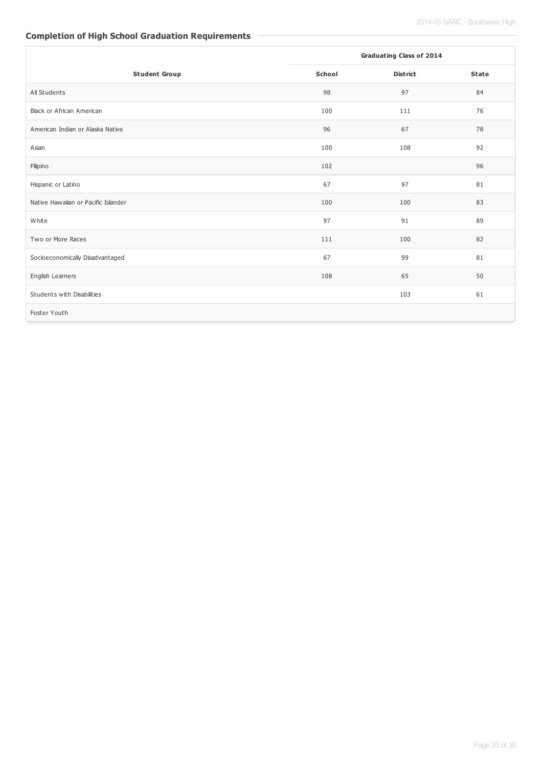## **Completion of High School Graduation Requirements**

|                                     | <b>Graduating Class of 2014</b> |                 |              |  |
|-------------------------------------|---------------------------------|-----------------|--------------|--|
| <b>Student Group</b>                | <b>School</b>                   | <b>District</b> | <b>State</b> |  |
| All Students                        | 98                              | 97              | 84           |  |
| <b>Black or African American</b>    | 100                             | 111             | 76           |  |
| American Indian or Alaska Native    | 96                              | 67              | 78           |  |
| Asian                               | 100                             | 108             | 92           |  |
| Filipino                            | 102                             |                 | 96           |  |
| Hispanic or Latino                  | 67                              | 97              | 81           |  |
| Native Hawaiian or Pacific Islander | 100                             | 100             | 83           |  |
| White                               | 97                              | 91              | 89           |  |
| Two or More Races                   | 111                             | 100             | 82           |  |
| Socioeconomically Disadvantaged     | 67                              | 99              | 81           |  |
| English Learners                    | 108                             | 65              | 50           |  |
| Students with Disabilities          |                                 | 103             | 61           |  |
| Foster Youth                        |                                 |                 |              |  |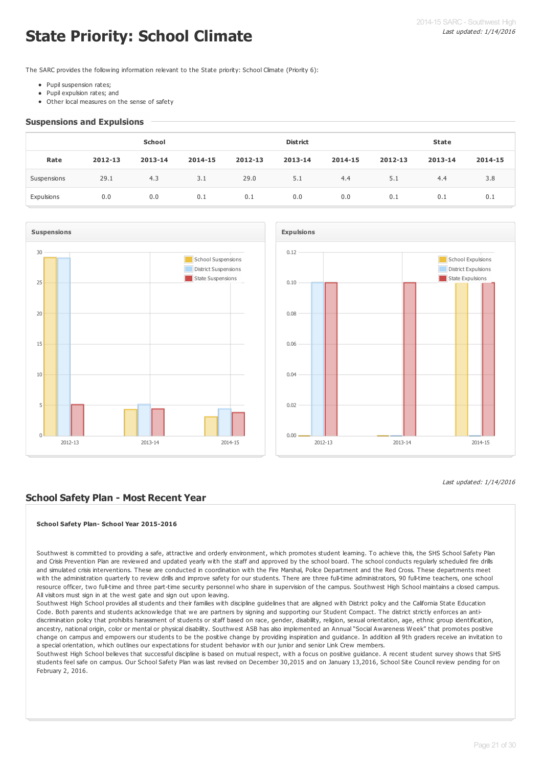# **State Priority: School Climate**

The SARC provides the following information relevant to the State priority: School Climate (Priority 6):

- Pupil suspension rates;
- Pupil expulsion rates; and
- Other local measures on the sense of safety

#### **Suspensions and Expulsions**

|             | School  |         |         |         | <b>District</b> |         |         | <b>State</b> |         |  |
|-------------|---------|---------|---------|---------|-----------------|---------|---------|--------------|---------|--|
| Rate        | 2012-13 | 2013-14 | 2014-15 | 2012-13 | 2013-14         | 2014-15 | 2012-13 | 2013-14      | 2014-15 |  |
| Suspensions | 29.1    | 4.3     | 3.1     | 29.0    | 5.1             | 4.4     | 5.1     | 4.4          | 3.8     |  |
| Expulsions  | 0.0     | 0.0     | 0.1     | 0.1     | 0.0             | 0.0     | 0.1     | 0.1          | 0.1     |  |





#### Last updated: 1/14/2016

## **School Safety Plan - Most Recent Year**

**School Safety Plan- School Year 2015-2016**

Southwest is committed to providing a safe, attractive and orderly environment, which promotes student learning. To achieve this, the SHS School Safety Plan and Crisis Prevention Plan are reviewed and updated yearly with the staff and approved by the school board. The school conducts regularly scheduled fire drills and simulated crisis interventions. These are conducted in coordination with the Fire Marshal, Police Department and the Red Cross. These departments meet with the administration quarterly to review drills and improve safety for our students. There are three full-time administrators, 90 full-time teachers, one school resource officer, two full-time and three part-time security personnel who share in supervision of the campus. Southwest High School maintains a closed campus. All visitors must sign in at the west gate and sign out upon leaving.

Southwest High School provides all students and their families with discipline guidelines that are aligned with District policy and the California State Education Code. Both parents and students acknowledge that we are partners by signing and supporting our Student Compact. The district strictly enforces an antidiscrimination policy that prohibits harassment of students or staff based on race, gender, disability, religion, sexual orientation, age, ethnic group identification, ancestry, national origin, color or mental or physical disability. Southwest ASB has also implemented an Annual "Social Awareness Week" that promotes positive change on campus and empowers our students to be the positive change by providing inspiration and guidance. In addition all 9th graders receive an invitation to a special orientation, which outlines our expectations for student behavior with our junior and senior Link Crew members.

Southwest High School believes that successful discipline is based on mutual respect, with a focus on positive guidance. A recent student survey shows that SHS students feel safe on campus. Our School Safety Plan was last revised on December 30,2015 and on January 13,2016, School Site Council review pending for on February 2, 2016.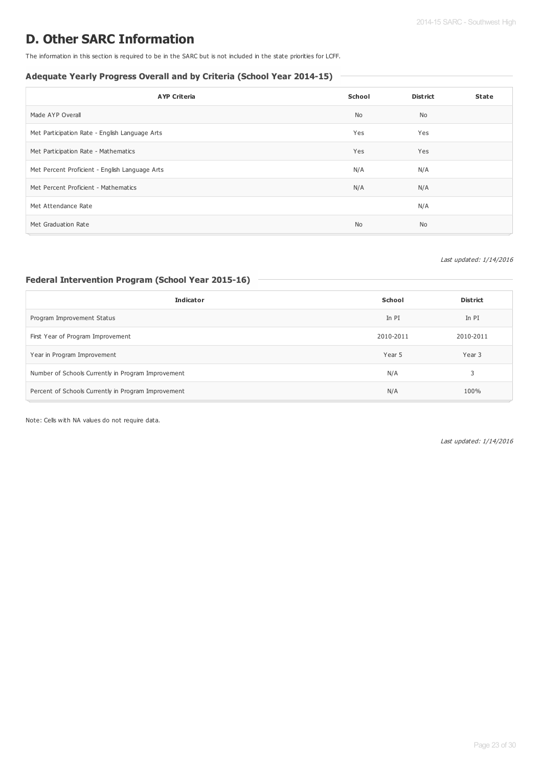## **D. Other SARC Information**

The information in this section is required to be in the SARC but is not included in the state priorities for LCFF.

## **Adequate Yearly Progress Overall and by Criteria (School Year 2014-15)**

| <b>AYP Criteria</b>                            | School    | <b>District</b> | <b>State</b> |
|------------------------------------------------|-----------|-----------------|--------------|
| Made AYP Overall                               | No        | No              |              |
| Met Participation Rate - English Language Arts | Yes       | Yes             |              |
| Met Participation Rate - Mathematics           | Yes       | Yes             |              |
| Met Percent Proficient - English Language Arts | N/A       | N/A             |              |
| Met Percent Proficient - Mathematics           | N/A       | N/A             |              |
| Met Attendance Rate                            |           | N/A             |              |
| Met Graduation Rate                            | <b>No</b> | <b>No</b>       |              |

#### Last updated: 1/14/2016

## **Federal Intervention Program (School Year 2015-16)**

| <b>Indicator</b>                                    | School    | <b>District</b> |
|-----------------------------------------------------|-----------|-----------------|
| Program Improvement Status                          | In PI     | In PI           |
| First Year of Program Improvement                   | 2010-2011 | 2010-2011       |
| Year in Program Improvement                         | Year 5    | Year 3          |
| Number of Schools Currently in Program Improvement  | N/A       | 3               |
| Percent of Schools Currently in Program Improvement | N/A       | 100%            |

Note: Cells with NA values do not require data.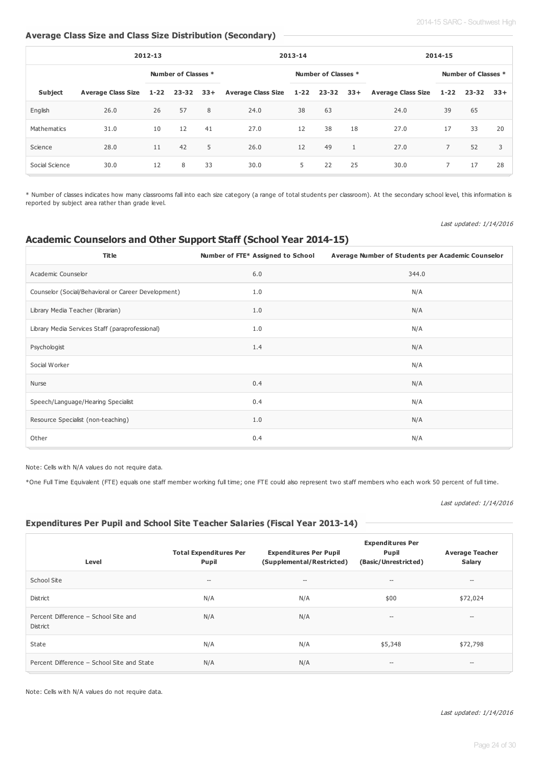## **Average Class Size and Class Size Distribution (Secondary)**

|                | 2012-13 |    |                     | 2013-14 |                                                                 |    | 2014-15             |              |                        |                |                     |    |
|----------------|---------|----|---------------------|---------|-----------------------------------------------------------------|----|---------------------|--------------|------------------------|----------------|---------------------|----|
|                |         |    | Number of Classes * |         |                                                                 |    | Number of Classes * |              |                        |                | Number of Classes * |    |
| Subject        |         |    |                     |         | Average Class Size 1-22 23-32 33+ Average Class Size 1-22 23-32 |    |                     |              | 33+ Average Class Size | $1 - 22$       | $23 - 32$ $33 +$    |    |
| English        | 26.0    | 26 | 57                  | 8       | 24.0                                                            | 38 | 63                  |              | 24.0                   | 39             | 65                  |    |
| Mathematics    | 31.0    | 10 | 12                  | 41      | 27.0                                                            | 12 | 38                  | 18           | 27.0                   | 17             | 33                  | 20 |
| Science        | 28.0    | 11 | 42                  | 5       | 26.0                                                            | 12 | 49                  | $\mathbf{1}$ | 27.0                   | $\overline{7}$ | 52                  | 3  |
| Social Science | 30.0    | 12 | 8                   | 33      | 30.0                                                            | 5  | 22                  | 25           | 30.0                   | 7              | 17                  | 28 |

\* Number of classes indicates how many classrooms fall into each size category (a range of total students per classroom). At the secondary school level, this information is reported by subject area rather than grade level.

Last updated: 1/14/2016

## **Academic Counselors and Other Support Staff (School Year 2014-15)**

| <b>Title</b>                                        | Number of FTE* Assigned to School | Average Number of Students per Academic Counselor |
|-----------------------------------------------------|-----------------------------------|---------------------------------------------------|
| Academic Counselor                                  | 6.0                               | 344.0                                             |
| Counselor (Social/Behavioral or Career Development) | 1.0                               | N/A                                               |
| Library Media Teacher (librarian)                   | 1.0                               | N/A                                               |
| Library Media Services Staff (paraprofessional)     | 1.0                               | N/A                                               |
| Psychologist                                        | 1.4                               | N/A                                               |
| Social Worker                                       |                                   | N/A                                               |
| Nurse                                               | 0.4                               | N/A                                               |
| Speech/Language/Hearing Specialist                  | 0.4                               | N/A                                               |
| Resource Specialist (non-teaching)                  | 1.0                               | N/A                                               |
| Other                                               | 0.4                               | N/A                                               |

Note: Cells with N/A values do not require data.

\*One Full Time Equivalent (FTE) equals one staff member working full time; one FTE could also represent two staff members who each work 50 percent of full time.

### Last updated: 1/14/2016

## **Expenditures Per Pupil and School Site Teacher Salaries (Fiscal Year 2013-14)**

| Level                                                   | <b>Total Expenditures Per</b><br>Pupil | <b>Expenditures Per Pupil</b><br>(Supplemental/Restricted) | <b>Expenditures Per</b><br>Pupil<br>(Basic/Unrestricted) | <b>Average Teacher</b><br>Salary |
|---------------------------------------------------------|----------------------------------------|------------------------------------------------------------|----------------------------------------------------------|----------------------------------|
| School Site                                             | $-\,-$                                 | $\hspace{0.05cm} \cdots$                                   | $\hspace{0.05cm}$ $\hspace{0.05cm}$                      | $-\, -$                          |
| District                                                | N/A                                    | N/A                                                        | \$00                                                     | \$72,024                         |
| Percent Difference - School Site and<br><b>District</b> | N/A                                    | N/A                                                        | $-\!$                                                    | $\hspace{0.05cm} \ldots$         |
| State                                                   | N/A                                    | N/A                                                        | \$5,348                                                  | \$72,798                         |
| Percent Difference - School Site and State              | N/A                                    | N/A                                                        | $\qquad \qquad -$                                        | $\hspace{0.05cm} \ldots$         |

Note: Cells with N/A values do not require data.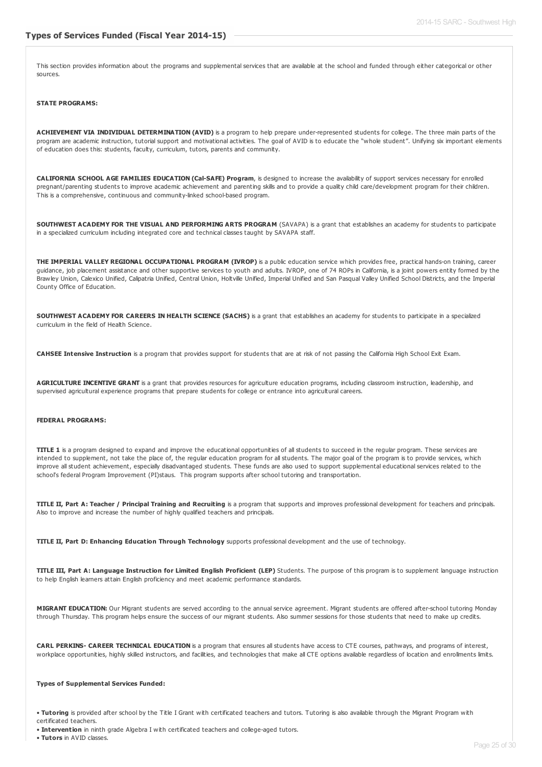This section provides information about the programs and supplemental services that are available at the school and funded through either categorical or other sources.

#### **STATE PROGRAMS:**

**ACHIEVEMENT VIA INDIVIDUAL DETERMINATION (AVID)** is a program to help prepare under-represented students for college. The three main parts of the program are academic instruction, tutorial support and motivational activities. The goal of AVID is to educate the "whole student". Unifying six important elements of education does this: students, faculty, curriculum, tutors, parents and community.

**CALIFORNIA SCHOOL AGE FAMILIES EDUCATION (Cal-SAFE) Program**, is designed to increase the availability of support services necessary for enrolled pregnant/parenting students to improve academic achievement and parenting skills and to provide a quality child care/development program for their children. This is a comprehensive, continuous and community-linked school-based program.

**SOUTHWEST ACADEMY FOR THE VISUAL AND PERFORMING ARTS PROGRAM** (SAVAPA) is a grant that establishes an academy for students to participate in a specialized curriculum including integrated core and technical classes taught by SAVAPA staff.

**THE IMPERIAL VALLEY REGIONAL OCCUPATIONAL PROGRAM (IVROP)** is a public education service which provides free, practical hands-on training, career guidance, job placement assistance and other supportive services to youth and adults. IVROP, one of 74 ROPs in California, is a joint powers entity formed by the Brawley Union, Calexico Unified, Calipatria Unified, Central Union, Holtville Unified, Imperial Unified and San Pasqual Valley Unified School Districts, and the Imperial County Office of Education.

**SOUTHWEST ACADEMY FOR CAREERS IN HEALTH SCIENCE (SACHS)** is a grant that establishes an academy for students to participate in a specialized curriculum in the field of Health Science.

**CAHSEE Intensive Instruction** is a program that provides support for students that are at risk of not passing the California High School Exit Exam.

**AGRICULTURE INCENTIVE GRANT** is a grant that provides resources for agriculture education programs, including classroom instruction, leadership, and supervised agricultural experience programs that prepare students for college or entrance into agricultural careers.

#### **FEDERAL PROGRAMS:**

**TITLE 1** is a program designed to expand and improve the educational opportunities of all students to succeed in the regular program. These services are intended to supplement, not take the place of, the regular education program for all students. The major goal of the program is to provide services, which improve all student achievement, especially disadvantaged students. These funds are also used to support supplemental educational services related to the school's federal Program Improvement (PI)staus. This program supports after school tutoring and transportation.

TITLE II, Part A: Teacher / Principal Training and Recruiting is a program that supports and improves professional development for teachers and principals. Also to improve and increase the number of highly qualified teachers and principals.

**TITLE II, Part D: Enhancing Education Through Technology** supports professional development and the use of technology.

TITLE III. Part A: Language Instruction for Limited English Proficient (LEP) Students. The purpose of this program is to supplement language instruction to help English learners attain English proficiency and meet academic performance standards.

**MIGRANT EDUCATION:** Our Migrant students are served according to the annual service agreement. Migrant students are offered after-school tutoring Monday through Thursday. This program helps ensure the success of our migrant students. Also summer sessions for those students that need to make up credits.

**CARL PERKINS- CAREER TECHNICAL EDUCATION** is a program that ensures all students have access to CTE courses, pathways, and programs of interest, workplace opportunities, highly skilled instructors, and facilities, and technologies that make all CTE options available regardless of location and enrollments limits.

#### **Types of Supplemental Services Funded:**

• **Tutoring** is provided after school by the Title I Grant with certificated teachers and tutors. Tutoring is also available through the Migrant Program with certificated teachers.

- **Intervention** in ninth grade Algebra I with certificated teachers and college-aged tutors.
- **Tutors** in AVID classes.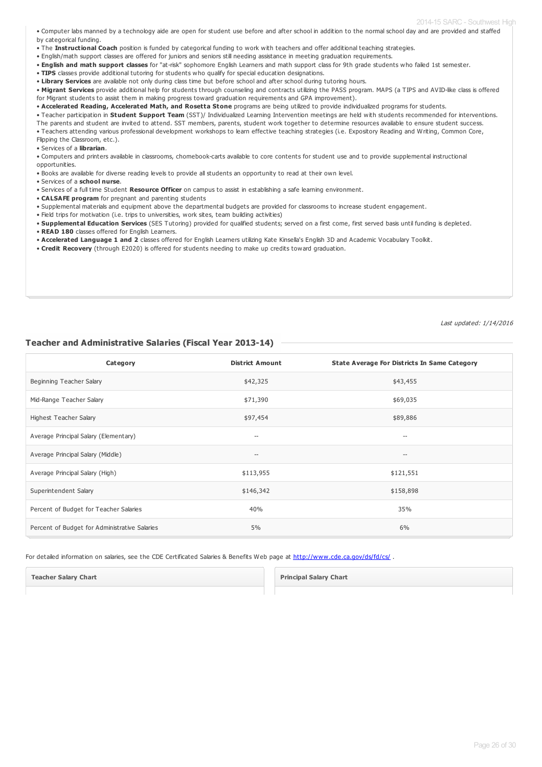#### 2014-15 SARC - Southwest High

• Computer labs manned by a technology aide are open for student use before and after school in addition to the normal school day and are provided and staffed by categorical funding.

- The **Instructional Coach** position is funded by categorical funding to work with teachers and offer additional teaching strategies.
- English/math support classes are offered for juniors and seniors still needing assistance in meeting graduation requirements.
- **English and math support classes** for "at-risk" sophomore English Learners and math support class for 9th grade students who failed 1st semester.
- **TIPS** classes provide additional tutoring for students who qualify for special education designations.
- **Library Services** are available not only during class time but before school and after school during tutoring hours.

• **Migrant Services** provide additional help for students through counseling and contracts utilizing the PASS program. MAPS (a TIPS and AVID-like class is offered for Migrant students to assist them in making progress toward graduation requirements and GPA improvement).

• **Accelerated Reading, Accelerated Math, and Rosetta Stone** programs are being utilized to provide individualized programs for students.

• Teacher participation in **Student Support Team** (SST)/ Individualized Learning Intervention meetings are held with students recommended for interventions.

The parents and student are invited to attend. SST members, parents, student work together to determine resources available to ensure student success.

• Teachers attending various professional development workshops to learn effective teaching strategies (i.e. Expository Reading and Writing, Common Core, Flipping the Classroom, etc.).

• Services of a **librarian**.

• Computers and printers available in classrooms, chomebook-carts available to core contents for student use and to provide supplemental instructional opportunities.

- Books are available for diverse reading levels to provide all students an opportunity to read at their own level.
- Services of a **school nurse**.
- Services of a full time Student **Resource Officer** on campus to assist in establishing a safe learning environment.
- **CALSAFE program** for pregnant and parenting students
- Supplemental materials and equipment above the departmental budgets are provided for classrooms to increase student engagement.
- Field trips for motivation (i.e. trips to universities, work sites, team building activities) • **Supplemental Education Services** (SES Tutoring) provided for qualified students; served on a first come, first served basis until funding is depleted.
- **READ 180** classes offered for English Learners.
- **Accelerated Language 1 and 2** classes offered for English Learners utilizing Kate Kinsella's English 3D and Academic Vocabulary Toolkit.
- **Credit Recovery** (through E2020) is offered for students needing to make up credits toward graduation.

Last updated: 1/14/2016

#### **Teacher and Administrative Salaries (Fiscal Year 2013-14)**

| Category                                      | <b>District Amount</b>   | <b>State Average For Districts In Same Category</b> |
|-----------------------------------------------|--------------------------|-----------------------------------------------------|
| Beginning Teacher Salary                      | \$42,325                 | \$43,455                                            |
| Mid-Range Teacher Salary                      | \$71,390                 | \$69,035                                            |
| Highest Teacher Salary                        | \$97,454                 | \$89,886                                            |
| Average Principal Salary (Elementary)         | $\overline{\phantom{a}}$ | --                                                  |
| Average Principal Salary (Middle)             | $\hspace{0.05cm} \ldots$ | $-\!$                                               |
| Average Principal Salary (High)               | \$113,955                | \$121,551                                           |
| Superintendent Salary                         | \$146,342                | \$158,898                                           |
| Percent of Budget for Teacher Salaries        | 40%                      | 35%                                                 |
| Percent of Budget for Administrative Salaries | 5%                       | 6%                                                  |

For detailed information on salaries, see the CDE Certificated Salaries & Benefits Web page at <http://www.cde.ca.gov/ds/fd/cs/> .

**Teacher Salary Chart**

**Principal Salary Chart**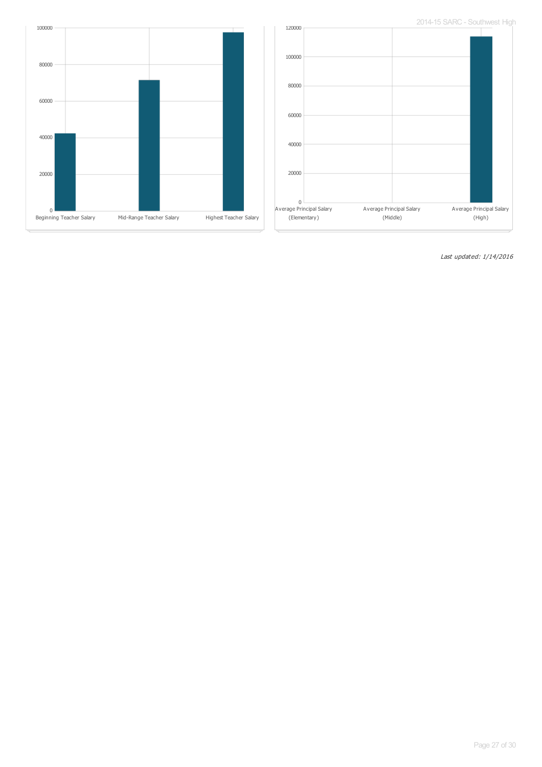



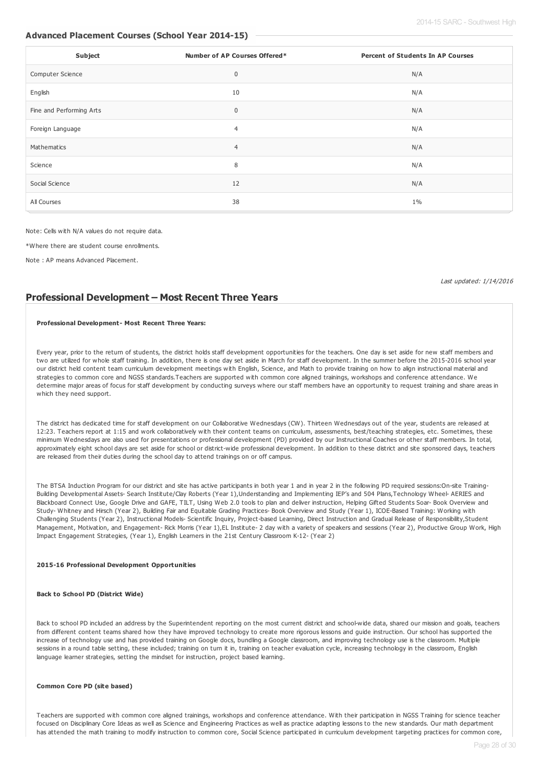## **Advanced Placement Courses (School Year 2014-15)**

| Subject                  | Number of AP Courses Offered* | <b>Percent of Students In AP Courses</b> |
|--------------------------|-------------------------------|------------------------------------------|
| Computer Science         | $\pmb{0}$                     | N/A                                      |
| English                  | 10                            | N/A                                      |
| Fine and Performing Arts | 0                             | N/A                                      |
| Foreign Language         | 4                             | N/A                                      |
| Mathematics              | $\overline{4}$                | N/A                                      |
| Science                  | 8                             | N/A                                      |
| Social Science           | 12                            | N/A                                      |
| All Courses              | 38                            | $1\%$                                    |

Note: Cells with N/A values do not require data.

\*Where there are student course enrollments.

Note : AP means Advanced Placement.

Last updated: 1/14/2016

## **Professional Development – Most Recent Three Years**

#### **Professional Development- Most Recent Three Years:**

Every year, prior to the return of students, the district holds staff development opportunities for the teachers. One day is set aside for new staff members and two are utilized for whole staff training. In addition, there is one day set aside in March for staff development. In the summer before the 2015-2016 school year our district held content team curriculum development meetings with English, Science, and Math to provide training on how to align instructional material and strategies to common core and NGSS standards.Teachers are supported with common core aligned trainings, workshops and conference attendance. We determine major areas of focus for staff development by conducting surveys where our staff members have an opportunity to request training and share areas in which they need support.

The district has dedicated time for staff development on our Collaborative Wednesdays (CW). Thirteen Wednesdays out of the year, students are released at 12:23. Teachers report at 1:15 and work collaboratively with their content teams on curriculum, assessments, best/teaching strategies, etc. Sometimes, these minimum Wednesdays are also used for presentations or professional development (PD) provided by our Instructional Coaches or other staff members. In total, approximately eight school days are set aside for school or district-wide professional development. In addition to these district and site sponsored days, teachers are released from their duties during the school day to attend trainings on or off campus.

The BTSA Induction Program for our district and site has active participants in both year 1 and in year 2 in the following PD required sessions:On-site Training-Building Developmental Assets- Search Institute/Clay Roberts (Year 1),Understanding and Implementing IEP's and 504 Plans,Technology Wheel- AERIES and Blackboard Connect Use, Google Drive and GAFE, TILT, Using Web 2.0 tools to plan and deliver instruction, Helping Gifted Students Soar- Book Overview and Study- Whitney and Hirsch (Year 2), Building Fair and Equitable Grading Practices- Book Overview and Study (Year 1), ICOE-Based Training: Working with Challenging Students (Year 2), Instructional Models- Scientific Inquiry, Project-based Learning, Direct Instruction and Gradual Release of Responsibility,Student Management, Motivation, and Engagement- Rick Morris (Year 1),EL Institute- 2 day with a variety of speakers and sessions (Year 2), Productive Group Work, High Impact Engagement Strategies, (Year 1), English Learners in the 21st Century Classroom K-12- (Year 2)

#### **2015-16 Professional Development Opportunities**

#### **Back to School PD (District Wide)**

Back to school PD included an address by the Superintendent reporting on the most current district and school-wide data, shared our mission and goals, teachers from different content teams shared how they have improved technology to create more rigorous lessons and guide instruction. Our school has supported the increase of technology use and has provided training on Google docs, bundling a Google classroom, and improving technology use is the classroom. Multiple sessions in a round table setting, these included; training on turn it in, training on teacher evaluation cycle, increasing technology in the classroom, English language learner strategies, setting the mindset for instruction, project based learning.

#### **Common Core PD (site based)**

Teachers are supported with common core aligned trainings, workshops and conference attendance. With their participation in NGSS Training for science teacher focused on Disciplinary Core Ideas as well as Science and Engineering Practices as well as practice adapting lessons to the new standards. Our math department has attended the math training to modify instruction to common core, Social Science participated in curriculum development targeting practices for common core,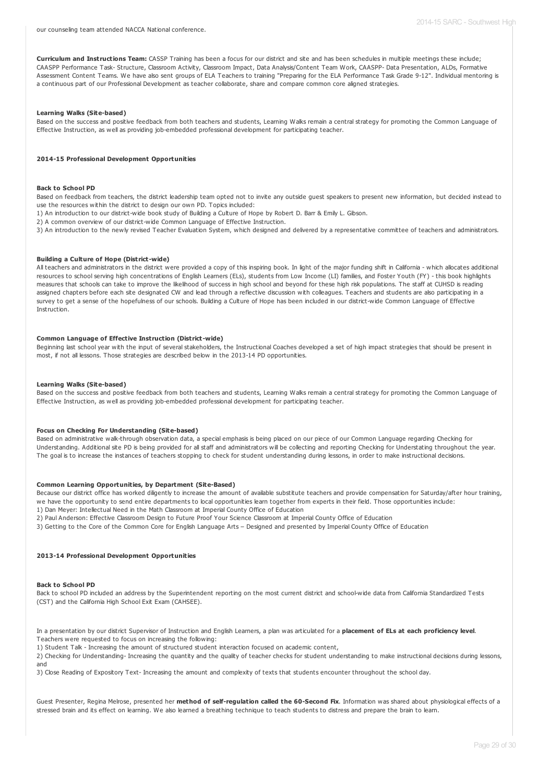**Curriculum and Instructions Team:** CASSP Training has been a focus for our district and site and has been schedules in multiple meetings these include; CAASPP Performance Task- Structure, Classroom Activity, Classroom Impact, Data Analysis/Content Team Work, CAASPP- Data Presentation, ALDs, Formative Assessment Content Teams. We have also sent groups of ELA Teachers to training "Preparing for the ELA Performance Task Grade 9-12". Individual mentoring is a continuous part of our Professional Development as teacher collaborate, share and compare common core aligned strategies.

#### **Learning Walks (Site-based)**

Based on the success and positive feedback from both teachers and students, Learning Walks remain a central strategy for promoting the Common Language of Effective Instruction, as well as providing job-embedded professional development for participating teacher.

#### **2014-15 Professional Development Opportunities**

#### **Back to School PD**

Based on feedback from teachers, the district leadership team opted not to invite any outside guest speakers to present new information, but decided instead to use the resources within the district to design our own PD. Topics included:

- 1) An introduction to our district-wide book study of Building a Culture of Hope by Robert D. Barr & Emily L. Gibson.
- 2) A common overview of our district-wide Common Language of Effective Instruction.
- 3) An introduction to the newly revised Teacher Evaluation System, which designed and delivered by a representative committee of teachers and administrators.

#### **Building a Culture of Hope (District-wide)**

All teachers and administrators in the district were provided a copy of this inspiring book. In light of the major funding shift in California - which allocates additional resources to school serving high concentrations of English Learners (ELs), students from Low Income (LI) families, and Foster Youth (FY) - this book highlights measures that schools can take to improve the likelihood of success in high school and beyond for these high risk populations. The staff at CUHSD is reading assigned chapters before each site designated CW and lead through a reflective discussion with colleagues. Teachers and students are also participating in a survey to get a sense of the hopefulness of our schools. Building a Culture of Hope has been included in our district-wide Common Language of Effective Instruction.

#### **Common Language of Effective Instruction (District-wide)**

Beginning last school year with the input of several stakeholders, the Instructional Coaches developed a set of high impact strategies that should be present in most, if not all lessons. Those strategies are described below in the 2013-14 PD opportunities.

#### **Learning Walks (Site-based)**

Based on the success and positive feedback from both teachers and students, Learning Walks remain a central strategy for promoting the Common Language of Effective Instruction, as well as providing job-embedded professional development for participating teacher.

#### **Focus on Checking For Understanding (Site-based)**

Based on administrative walk-through observation data, a special emphasis is being placed on our piece of our Common Language regarding Checking for Understanding. Additional site PD is being provided for all staff and administrators will be collecting and reporting Checking for Understating throughout the year. The goal is to increase the instances of teachers stopping to check for student understanding during lessons, in order to make instructional decisions.

#### **Common Learning Opportunities, by Department (Site-Based)**

Because our district office has worked diligently to increase the amount of available substitute teachers and provide compensation for Saturday/after hour training, we have the opportunity to send entire departments to local opportunities learn together from experts in their field. Those opportunities include:

- 1) Dan Meyer: Intellectual Need in the Math Classroom at Imperial County Office of Education
- 2) Paul Anderson: Effective Classroom Design to Future Proof Your Science Classroom at Imperial County Office of Education
- 3) Getting to the Core of the Common Core for English Language Arts Designed and presented by Imperial County Office of Education

#### **2013-14 Professional Development Opportunities**

#### **Back to School PD**

Back to school PD included an address by the Superintendent reporting on the most current district and school-wide data from California Standardized Tests (CST) and the California High School Exit Exam (CAHSEE).

In a presentation by our district Supervisor of Instruction and English Learners, a plan was articulated for a **placement of ELs at each proficiency level**. Teachers were requested to focus on increasing the following:

1) Student Talk - Increasing the amount of structured student interaction focused on academic content,

2) Checking for Understanding- Increasing the quantity and the quality of teacher checks for student understanding to make instructional decisions during lessons, and

3) Close Reading of Expository Text- Increasing the amount and complexity of texts that students encounter throughout the school day.

Guest Presenter, Regina Melrose, presented her **method of self-regulation called the 60-Second Fix**. Information was shared about physiological effects of a stressed brain and its effect on learning. We also learned a breathing technique to teach students to distress and prepare the brain to learn.